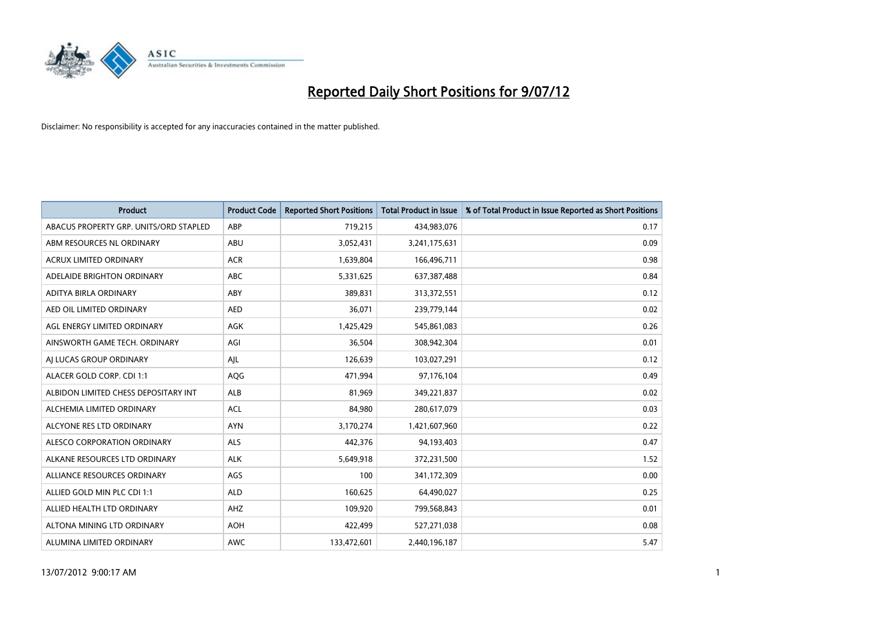

| <b>Product</b>                         | <b>Product Code</b> | <b>Reported Short Positions</b> | <b>Total Product in Issue</b> | % of Total Product in Issue Reported as Short Positions |
|----------------------------------------|---------------------|---------------------------------|-------------------------------|---------------------------------------------------------|
| ABACUS PROPERTY GRP. UNITS/ORD STAPLED | ABP                 | 719,215                         | 434,983,076                   | 0.17                                                    |
| ABM RESOURCES NL ORDINARY              | ABU                 | 3,052,431                       | 3,241,175,631                 | 0.09                                                    |
| <b>ACRUX LIMITED ORDINARY</b>          | <b>ACR</b>          | 1,639,804                       | 166,496,711                   | 0.98                                                    |
| ADELAIDE BRIGHTON ORDINARY             | <b>ABC</b>          | 5,331,625                       | 637,387,488                   | 0.84                                                    |
| <b>ADITYA BIRLA ORDINARY</b>           | ABY                 | 389.831                         | 313,372,551                   | 0.12                                                    |
| AED OIL LIMITED ORDINARY               | <b>AED</b>          | 36,071                          | 239,779,144                   | 0.02                                                    |
| AGL ENERGY LIMITED ORDINARY            | AGK                 | 1,425,429                       | 545,861,083                   | 0.26                                                    |
| AINSWORTH GAME TECH. ORDINARY          | AGI                 | 36,504                          | 308,942,304                   | 0.01                                                    |
| AI LUCAS GROUP ORDINARY                | AJL                 | 126,639                         | 103,027,291                   | 0.12                                                    |
| ALACER GOLD CORP. CDI 1:1              | AQG                 | 471,994                         | 97,176,104                    | 0.49                                                    |
| ALBIDON LIMITED CHESS DEPOSITARY INT   | <b>ALB</b>          | 81,969                          | 349,221,837                   | 0.02                                                    |
| ALCHEMIA LIMITED ORDINARY              | <b>ACL</b>          | 84,980                          | 280,617,079                   | 0.03                                                    |
| ALCYONE RES LTD ORDINARY               | <b>AYN</b>          | 3,170,274                       | 1,421,607,960                 | 0.22                                                    |
| <b>ALESCO CORPORATION ORDINARY</b>     | <b>ALS</b>          | 442,376                         | 94,193,403                    | 0.47                                                    |
| ALKANE RESOURCES LTD ORDINARY          | <b>ALK</b>          | 5,649,918                       | 372,231,500                   | 1.52                                                    |
| ALLIANCE RESOURCES ORDINARY            | AGS                 | 100                             | 341,172,309                   | 0.00                                                    |
| ALLIED GOLD MIN PLC CDI 1:1            | <b>ALD</b>          | 160,625                         | 64,490,027                    | 0.25                                                    |
| ALLIED HEALTH LTD ORDINARY             | <b>AHZ</b>          | 109,920                         | 799,568,843                   | 0.01                                                    |
| ALTONA MINING LTD ORDINARY             | <b>AOH</b>          | 422,499                         | 527,271,038                   | 0.08                                                    |
| ALUMINA LIMITED ORDINARY               | <b>AWC</b>          | 133,472,601                     | 2,440,196,187                 | 5.47                                                    |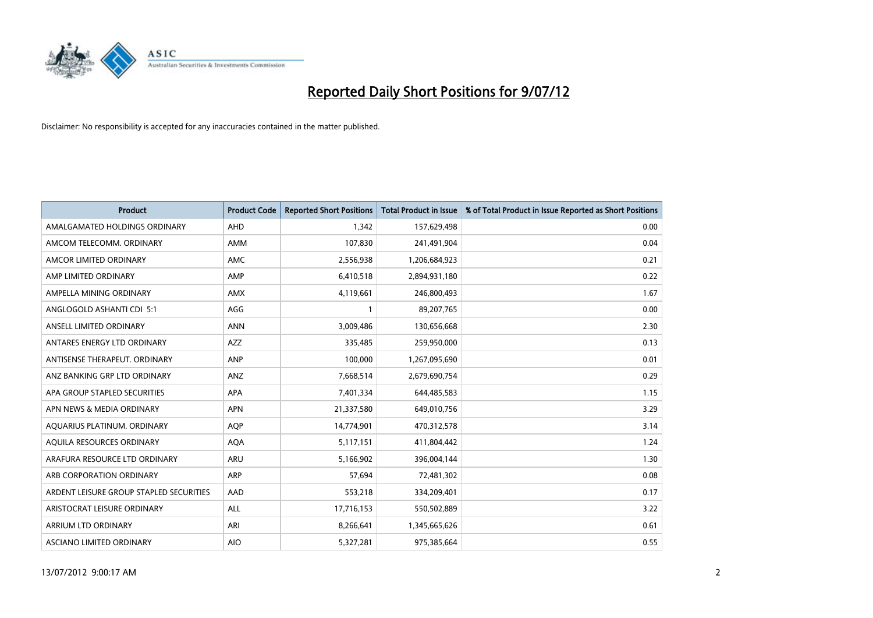

| <b>Product</b>                          | <b>Product Code</b> | <b>Reported Short Positions</b> | <b>Total Product in Issue</b> | % of Total Product in Issue Reported as Short Positions |
|-----------------------------------------|---------------------|---------------------------------|-------------------------------|---------------------------------------------------------|
| AMALGAMATED HOLDINGS ORDINARY           | AHD                 | 1,342                           | 157,629,498                   | 0.00                                                    |
| AMCOM TELECOMM. ORDINARY                | <b>AMM</b>          | 107,830                         | 241,491,904                   | 0.04                                                    |
| AMCOR LIMITED ORDINARY                  | AMC                 | 2,556,938                       | 1,206,684,923                 | 0.21                                                    |
| AMP LIMITED ORDINARY                    | AMP                 | 6,410,518                       | 2,894,931,180                 | 0.22                                                    |
| AMPELLA MINING ORDINARY                 | <b>AMX</b>          | 4,119,661                       | 246,800,493                   | 1.67                                                    |
| ANGLOGOLD ASHANTI CDI 5:1               | AGG                 |                                 | 89,207,765                    | 0.00                                                    |
| ANSELL LIMITED ORDINARY                 | <b>ANN</b>          | 3,009,486                       | 130,656,668                   | 2.30                                                    |
| ANTARES ENERGY LTD ORDINARY             | <b>AZZ</b>          | 335,485                         | 259,950,000                   | 0.13                                                    |
| ANTISENSE THERAPEUT, ORDINARY           | <b>ANP</b>          | 100,000                         | 1,267,095,690                 | 0.01                                                    |
| ANZ BANKING GRP LTD ORDINARY            | <b>ANZ</b>          | 7,668,514                       | 2,679,690,754                 | 0.29                                                    |
| APA GROUP STAPLED SECURITIES            | APA                 | 7,401,334                       | 644,485,583                   | 1.15                                                    |
| APN NEWS & MEDIA ORDINARY               | <b>APN</b>          | 21,337,580                      | 649,010,756                   | 3.29                                                    |
| AQUARIUS PLATINUM. ORDINARY             | <b>AOP</b>          | 14,774,901                      | 470,312,578                   | 3.14                                                    |
| AQUILA RESOURCES ORDINARY               | <b>AQA</b>          | 5,117,151                       | 411,804,442                   | 1.24                                                    |
| ARAFURA RESOURCE LTD ORDINARY           | <b>ARU</b>          | 5,166,902                       | 396,004,144                   | 1.30                                                    |
| ARB CORPORATION ORDINARY                | ARP                 | 57,694                          | 72,481,302                    | 0.08                                                    |
| ARDENT LEISURE GROUP STAPLED SECURITIES | AAD                 | 553,218                         | 334,209,401                   | 0.17                                                    |
| ARISTOCRAT LEISURE ORDINARY             | <b>ALL</b>          | 17,716,153                      | 550,502,889                   | 3.22                                                    |
| <b>ARRIUM LTD ORDINARY</b>              | ARI                 | 8,266,641                       | 1,345,665,626                 | 0.61                                                    |
| ASCIANO LIMITED ORDINARY                | <b>AIO</b>          | 5,327,281                       | 975,385,664                   | 0.55                                                    |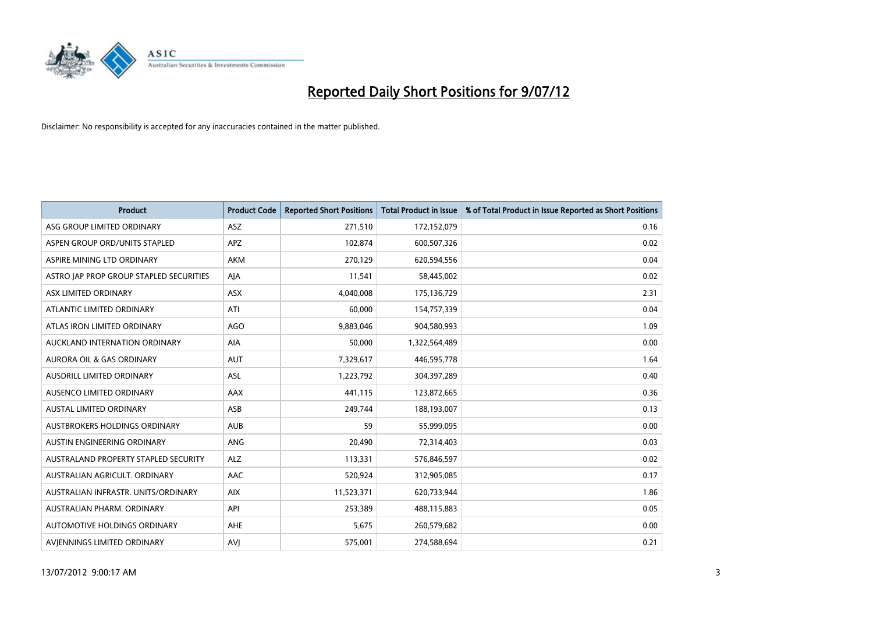

| <b>Product</b>                          | <b>Product Code</b> | <b>Reported Short Positions</b> | <b>Total Product in Issue</b> | % of Total Product in Issue Reported as Short Positions |
|-----------------------------------------|---------------------|---------------------------------|-------------------------------|---------------------------------------------------------|
| ASG GROUP LIMITED ORDINARY              | <b>ASZ</b>          | 271,510                         | 172,152,079                   | 0.16                                                    |
| ASPEN GROUP ORD/UNITS STAPLED           | <b>APZ</b>          | 102,874                         | 600,507,326                   | 0.02                                                    |
| ASPIRE MINING LTD ORDINARY              | <b>AKM</b>          | 270,129                         | 620,594,556                   | 0.04                                                    |
| ASTRO JAP PROP GROUP STAPLED SECURITIES | AJA                 | 11,541                          | 58,445,002                    | 0.02                                                    |
| <b>ASX LIMITED ORDINARY</b>             | <b>ASX</b>          | 4,040,008                       | 175,136,729                   | 2.31                                                    |
| ATLANTIC LIMITED ORDINARY               | ATI                 | 60,000                          | 154,757,339                   | 0.04                                                    |
| ATLAS IRON LIMITED ORDINARY             | AGO                 | 9.883.046                       | 904,580,993                   | 1.09                                                    |
| AUCKLAND INTERNATION ORDINARY           | AIA                 | 50,000                          | 1,322,564,489                 | 0.00                                                    |
| AURORA OIL & GAS ORDINARY               | <b>AUT</b>          | 7,329,617                       | 446,595,778                   | 1.64                                                    |
| AUSDRILL LIMITED ORDINARY               | <b>ASL</b>          | 1,223,792                       | 304,397,289                   | 0.40                                                    |
| AUSENCO LIMITED ORDINARY                | AAX                 | 441,115                         | 123,872,665                   | 0.36                                                    |
| <b>AUSTAL LIMITED ORDINARY</b>          | ASB                 | 249,744                         | 188,193,007                   | 0.13                                                    |
| AUSTBROKERS HOLDINGS ORDINARY           | <b>AUB</b>          | 59                              | 55,999,095                    | 0.00                                                    |
| AUSTIN ENGINEERING ORDINARY             | <b>ANG</b>          | 20,490                          | 72,314,403                    | 0.03                                                    |
| AUSTRALAND PROPERTY STAPLED SECURITY    | <b>ALZ</b>          | 113,331                         | 576,846,597                   | 0.02                                                    |
| AUSTRALIAN AGRICULT. ORDINARY           | AAC                 | 520,924                         | 312,905,085                   | 0.17                                                    |
| AUSTRALIAN INFRASTR, UNITS/ORDINARY     | <b>AIX</b>          | 11,523,371                      | 620,733,944                   | 1.86                                                    |
| AUSTRALIAN PHARM, ORDINARY              | API                 | 253,389                         | 488,115,883                   | 0.05                                                    |
| AUTOMOTIVE HOLDINGS ORDINARY            | <b>AHE</b>          | 5,675                           | 260,579,682                   | 0.00                                                    |
| AVIENNINGS LIMITED ORDINARY             | AVI                 | 575.001                         | 274,588,694                   | 0.21                                                    |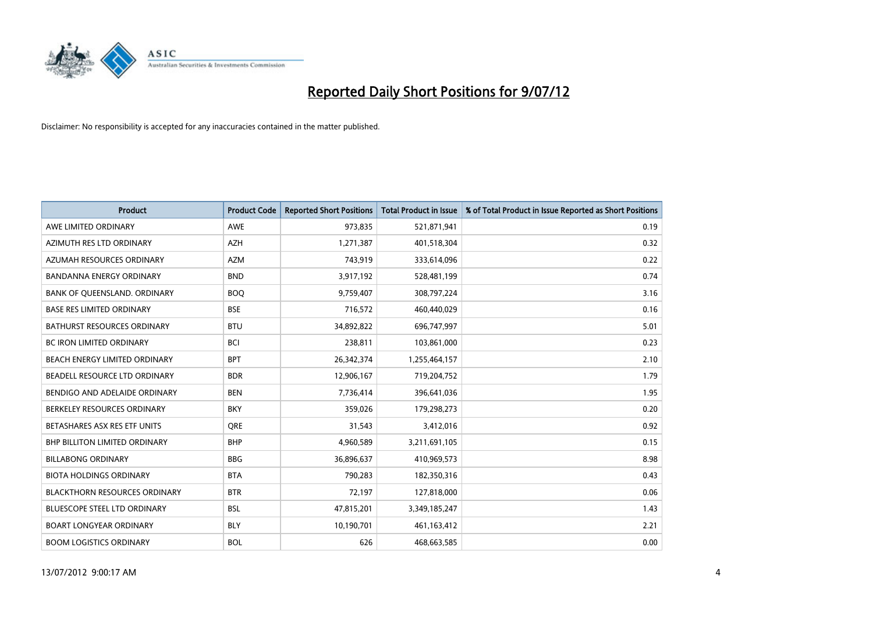

| <b>Product</b>                       | <b>Product Code</b> | <b>Reported Short Positions</b> | <b>Total Product in Issue</b> | % of Total Product in Issue Reported as Short Positions |
|--------------------------------------|---------------------|---------------------------------|-------------------------------|---------------------------------------------------------|
| AWE LIMITED ORDINARY                 | <b>AWE</b>          | 973,835                         | 521,871,941                   | 0.19                                                    |
| AZIMUTH RES LTD ORDINARY             | <b>AZH</b>          | 1,271,387                       | 401,518,304                   | 0.32                                                    |
| AZUMAH RESOURCES ORDINARY            | <b>AZM</b>          | 743,919                         | 333,614,096                   | 0.22                                                    |
| BANDANNA ENERGY ORDINARY             | <b>BND</b>          | 3,917,192                       | 528,481,199                   | 0.74                                                    |
| BANK OF QUEENSLAND. ORDINARY         | <b>BOO</b>          | 9,759,407                       | 308,797,224                   | 3.16                                                    |
| <b>BASE RES LIMITED ORDINARY</b>     | <b>BSE</b>          | 716,572                         | 460,440,029                   | 0.16                                                    |
| <b>BATHURST RESOURCES ORDINARY</b>   | <b>BTU</b>          | 34,892,822                      | 696,747,997                   | 5.01                                                    |
| <b>BC IRON LIMITED ORDINARY</b>      | <b>BCI</b>          | 238,811                         | 103,861,000                   | 0.23                                                    |
| BEACH ENERGY LIMITED ORDINARY        | <b>BPT</b>          | 26,342,374                      | 1,255,464,157                 | 2.10                                                    |
| BEADELL RESOURCE LTD ORDINARY        | <b>BDR</b>          | 12,906,167                      | 719,204,752                   | 1.79                                                    |
| BENDIGO AND ADELAIDE ORDINARY        | <b>BEN</b>          | 7,736,414                       | 396,641,036                   | 1.95                                                    |
| BERKELEY RESOURCES ORDINARY          | <b>BKY</b>          | 359,026                         | 179,298,273                   | 0.20                                                    |
| BETASHARES ASX RES ETF UNITS         | <b>ORE</b>          | 31,543                          | 3,412,016                     | 0.92                                                    |
| <b>BHP BILLITON LIMITED ORDINARY</b> | <b>BHP</b>          | 4,960,589                       | 3,211,691,105                 | 0.15                                                    |
| <b>BILLABONG ORDINARY</b>            | <b>BBG</b>          | 36,896,637                      | 410,969,573                   | 8.98                                                    |
| <b>BIOTA HOLDINGS ORDINARY</b>       | <b>BTA</b>          | 790,283                         | 182,350,316                   | 0.43                                                    |
| <b>BLACKTHORN RESOURCES ORDINARY</b> | <b>BTR</b>          | 72,197                          | 127,818,000                   | 0.06                                                    |
| BLUESCOPE STEEL LTD ORDINARY         | <b>BSL</b>          | 47,815,201                      | 3,349,185,247                 | 1.43                                                    |
| <b>BOART LONGYEAR ORDINARY</b>       | <b>BLY</b>          | 10,190,701                      | 461,163,412                   | 2.21                                                    |
| <b>BOOM LOGISTICS ORDINARY</b>       | <b>BOL</b>          | 626                             | 468,663,585                   | 0.00                                                    |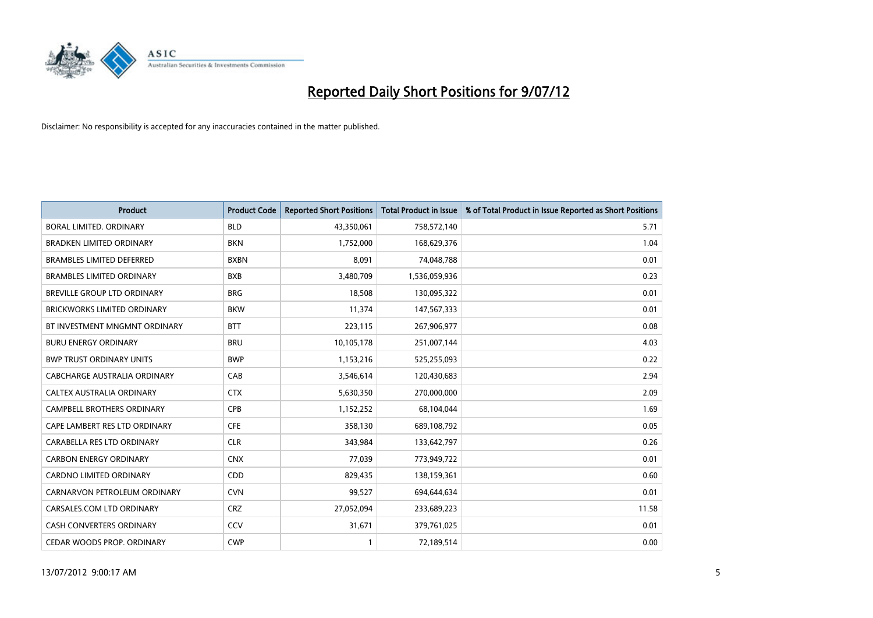

| <b>Product</b>                     | <b>Product Code</b> | <b>Reported Short Positions</b> | <b>Total Product in Issue</b> | % of Total Product in Issue Reported as Short Positions |
|------------------------------------|---------------------|---------------------------------|-------------------------------|---------------------------------------------------------|
| <b>BORAL LIMITED, ORDINARY</b>     | <b>BLD</b>          | 43,350,061                      | 758,572,140                   | 5.71                                                    |
| <b>BRADKEN LIMITED ORDINARY</b>    | <b>BKN</b>          | 1,752,000                       | 168,629,376                   | 1.04                                                    |
| <b>BRAMBLES LIMITED DEFERRED</b>   | <b>BXBN</b>         | 8,091                           | 74,048,788                    | 0.01                                                    |
| <b>BRAMBLES LIMITED ORDINARY</b>   | <b>BXB</b>          | 3,480,709                       | 1,536,059,936                 | 0.23                                                    |
| <b>BREVILLE GROUP LTD ORDINARY</b> | <b>BRG</b>          | 18,508                          | 130,095,322                   | 0.01                                                    |
| <b>BRICKWORKS LIMITED ORDINARY</b> | <b>BKW</b>          | 11,374                          | 147,567,333                   | 0.01                                                    |
| BT INVESTMENT MNGMNT ORDINARY      | <b>BTT</b>          | 223,115                         | 267,906,977                   | 0.08                                                    |
| <b>BURU ENERGY ORDINARY</b>        | <b>BRU</b>          | 10,105,178                      | 251,007,144                   | 4.03                                                    |
| <b>BWP TRUST ORDINARY UNITS</b>    | <b>BWP</b>          | 1,153,216                       | 525,255,093                   | 0.22                                                    |
| CABCHARGE AUSTRALIA ORDINARY       | CAB                 | 3,546,614                       | 120,430,683                   | 2.94                                                    |
| CALTEX AUSTRALIA ORDINARY          | <b>CTX</b>          | 5,630,350                       | 270,000,000                   | 2.09                                                    |
| <b>CAMPBELL BROTHERS ORDINARY</b>  | CPB                 | 1,152,252                       | 68,104,044                    | 1.69                                                    |
| CAPE LAMBERT RES LTD ORDINARY      | <b>CFE</b>          | 358,130                         | 689,108,792                   | 0.05                                                    |
| CARABELLA RES LTD ORDINARY         | <b>CLR</b>          | 343,984                         | 133,642,797                   | 0.26                                                    |
| <b>CARBON ENERGY ORDINARY</b>      | <b>CNX</b>          | 77,039                          | 773,949,722                   | 0.01                                                    |
| CARDNO LIMITED ORDINARY            | <b>CDD</b>          | 829,435                         | 138,159,361                   | 0.60                                                    |
| CARNARVON PETROLEUM ORDINARY       | <b>CVN</b>          | 99,527                          | 694,644,634                   | 0.01                                                    |
| CARSALES.COM LTD ORDINARY          | CRZ                 | 27,052,094                      | 233,689,223                   | 11.58                                                   |
| <b>CASH CONVERTERS ORDINARY</b>    | CCV                 | 31,671                          | 379,761,025                   | 0.01                                                    |
| CEDAR WOODS PROP. ORDINARY         | <b>CWP</b>          | 1                               | 72,189,514                    | 0.00                                                    |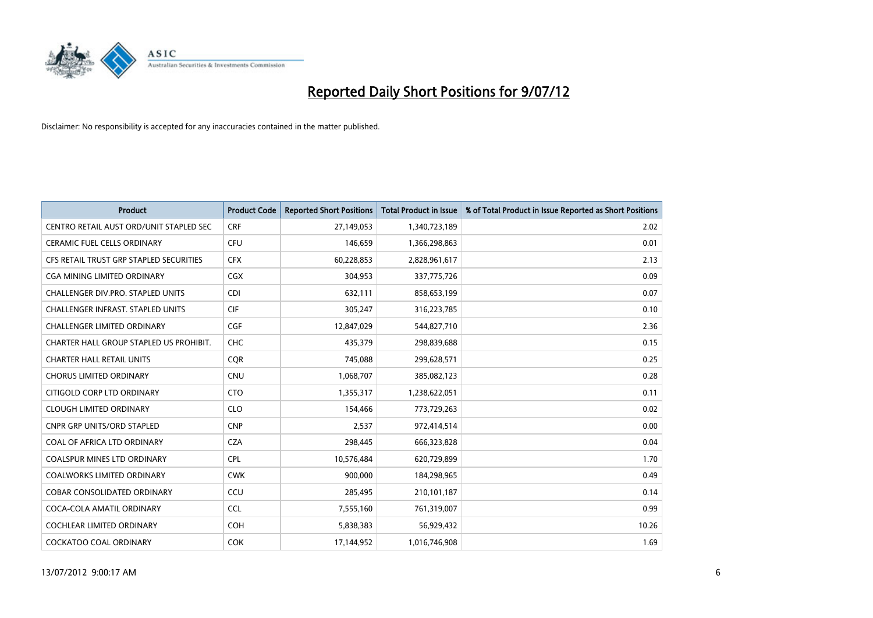

| <b>Product</b>                           | <b>Product Code</b> | <b>Reported Short Positions</b> | <b>Total Product in Issue</b> | % of Total Product in Issue Reported as Short Positions |
|------------------------------------------|---------------------|---------------------------------|-------------------------------|---------------------------------------------------------|
| CENTRO RETAIL AUST ORD/UNIT STAPLED SEC  | <b>CRF</b>          | 27,149,053                      | 1,340,723,189                 | 2.02                                                    |
| CERAMIC FUEL CELLS ORDINARY              | <b>CFU</b>          | 146,659                         | 1,366,298,863                 | 0.01                                                    |
| CFS RETAIL TRUST GRP STAPLED SECURITIES  | <b>CFX</b>          | 60,228,853                      | 2,828,961,617                 | 2.13                                                    |
| <b>CGA MINING LIMITED ORDINARY</b>       | <b>CGX</b>          | 304,953                         | 337,775,726                   | 0.09                                                    |
| CHALLENGER DIV.PRO. STAPLED UNITS        | <b>CDI</b>          | 632,111                         | 858,653,199                   | 0.07                                                    |
| <b>CHALLENGER INFRAST, STAPLED UNITS</b> | <b>CIF</b>          | 305,247                         | 316,223,785                   | 0.10                                                    |
| <b>CHALLENGER LIMITED ORDINARY</b>       | <b>CGF</b>          | 12,847,029                      | 544,827,710                   | 2.36                                                    |
| CHARTER HALL GROUP STAPLED US PROHIBIT.  | <b>CHC</b>          | 435,379                         | 298,839,688                   | 0.15                                                    |
| <b>CHARTER HALL RETAIL UNITS</b>         | <b>COR</b>          | 745,088                         | 299,628,571                   | 0.25                                                    |
| <b>CHORUS LIMITED ORDINARY</b>           | <b>CNU</b>          | 1,068,707                       | 385,082,123                   | 0.28                                                    |
| CITIGOLD CORP LTD ORDINARY               | <b>CTO</b>          | 1,355,317                       | 1,238,622,051                 | 0.11                                                    |
| <b>CLOUGH LIMITED ORDINARY</b>           | <b>CLO</b>          | 154,466                         | 773,729,263                   | 0.02                                                    |
| <b>CNPR GRP UNITS/ORD STAPLED</b>        | <b>CNP</b>          | 2,537                           | 972,414,514                   | 0.00                                                    |
| COAL OF AFRICA LTD ORDINARY              | <b>CZA</b>          | 298,445                         | 666,323,828                   | 0.04                                                    |
| <b>COALSPUR MINES LTD ORDINARY</b>       | <b>CPL</b>          | 10,576,484                      | 620,729,899                   | 1.70                                                    |
| <b>COALWORKS LIMITED ORDINARY</b>        | <b>CWK</b>          | 900.000                         | 184,298,965                   | 0.49                                                    |
| <b>COBAR CONSOLIDATED ORDINARY</b>       | CCU                 | 285,495                         | 210,101,187                   | 0.14                                                    |
| COCA-COLA AMATIL ORDINARY                | <b>CCL</b>          | 7,555,160                       | 761,319,007                   | 0.99                                                    |
| COCHLEAR LIMITED ORDINARY                | <b>COH</b>          | 5,838,383                       | 56,929,432                    | 10.26                                                   |
| COCKATOO COAL ORDINARY                   | <b>COK</b>          | 17,144,952                      | 1,016,746,908                 | 1.69                                                    |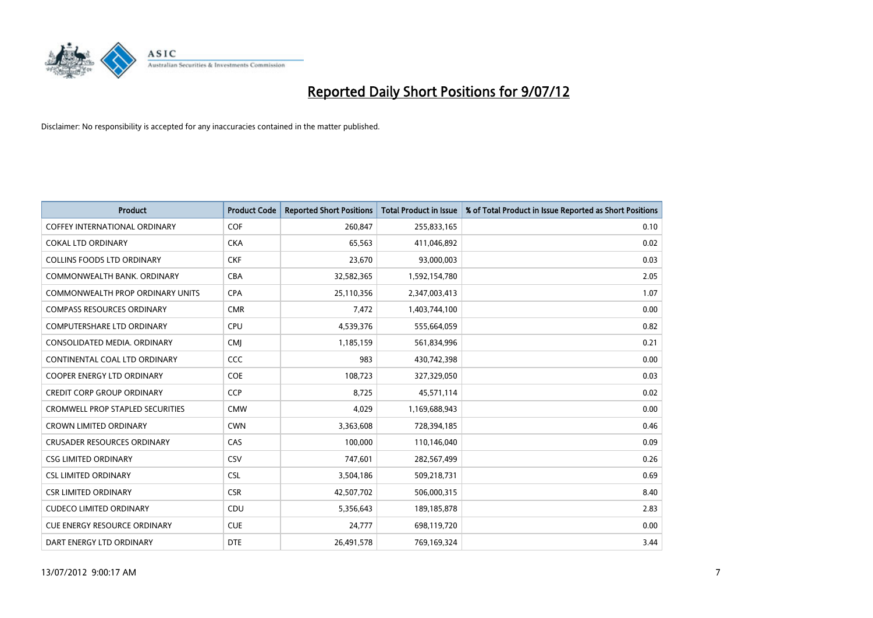

| <b>Product</b>                          | <b>Product Code</b> | <b>Reported Short Positions</b> | <b>Total Product in Issue</b> | % of Total Product in Issue Reported as Short Positions |
|-----------------------------------------|---------------------|---------------------------------|-------------------------------|---------------------------------------------------------|
| <b>COFFEY INTERNATIONAL ORDINARY</b>    | <b>COF</b>          | 260,847                         | 255,833,165                   | 0.10                                                    |
| <b>COKAL LTD ORDINARY</b>               | <b>CKA</b>          | 65,563                          | 411,046,892                   | 0.02                                                    |
| <b>COLLINS FOODS LTD ORDINARY</b>       | <b>CKF</b>          | 23,670                          | 93,000,003                    | 0.03                                                    |
| COMMONWEALTH BANK, ORDINARY             | CBA                 | 32,582,365                      | 1,592,154,780                 | 2.05                                                    |
| <b>COMMONWEALTH PROP ORDINARY UNITS</b> | <b>CPA</b>          | 25,110,356                      | 2,347,003,413                 | 1.07                                                    |
| <b>COMPASS RESOURCES ORDINARY</b>       | <b>CMR</b>          | 7,472                           | 1,403,744,100                 | 0.00                                                    |
| <b>COMPUTERSHARE LTD ORDINARY</b>       | <b>CPU</b>          | 4,539,376                       | 555,664,059                   | 0.82                                                    |
| CONSOLIDATED MEDIA, ORDINARY            | <b>CMI</b>          | 1,185,159                       | 561,834,996                   | 0.21                                                    |
| CONTINENTAL COAL LTD ORDINARY           | CCC                 | 983                             | 430,742,398                   | 0.00                                                    |
| <b>COOPER ENERGY LTD ORDINARY</b>       | <b>COE</b>          | 108,723                         | 327,329,050                   | 0.03                                                    |
| <b>CREDIT CORP GROUP ORDINARY</b>       | <b>CCP</b>          | 8,725                           | 45,571,114                    | 0.02                                                    |
| <b>CROMWELL PROP STAPLED SECURITIES</b> | <b>CMW</b>          | 4,029                           | 1,169,688,943                 | 0.00                                                    |
| <b>CROWN LIMITED ORDINARY</b>           | <b>CWN</b>          | 3,363,608                       | 728,394,185                   | 0.46                                                    |
| <b>CRUSADER RESOURCES ORDINARY</b>      | CAS                 | 100,000                         | 110,146,040                   | 0.09                                                    |
| <b>CSG LIMITED ORDINARY</b>             | CSV                 | 747,601                         | 282,567,499                   | 0.26                                                    |
| <b>CSL LIMITED ORDINARY</b>             | <b>CSL</b>          | 3,504,186                       | 509,218,731                   | 0.69                                                    |
| <b>CSR LIMITED ORDINARY</b>             | <b>CSR</b>          | 42,507,702                      | 506,000,315                   | 8.40                                                    |
| <b>CUDECO LIMITED ORDINARY</b>          | CDU                 | 5,356,643                       | 189, 185, 878                 | 2.83                                                    |
| <b>CUE ENERGY RESOURCE ORDINARY</b>     | <b>CUE</b>          | 24,777                          | 698,119,720                   | 0.00                                                    |
| DART ENERGY LTD ORDINARY                | <b>DTE</b>          | 26,491,578                      | 769,169,324                   | 3.44                                                    |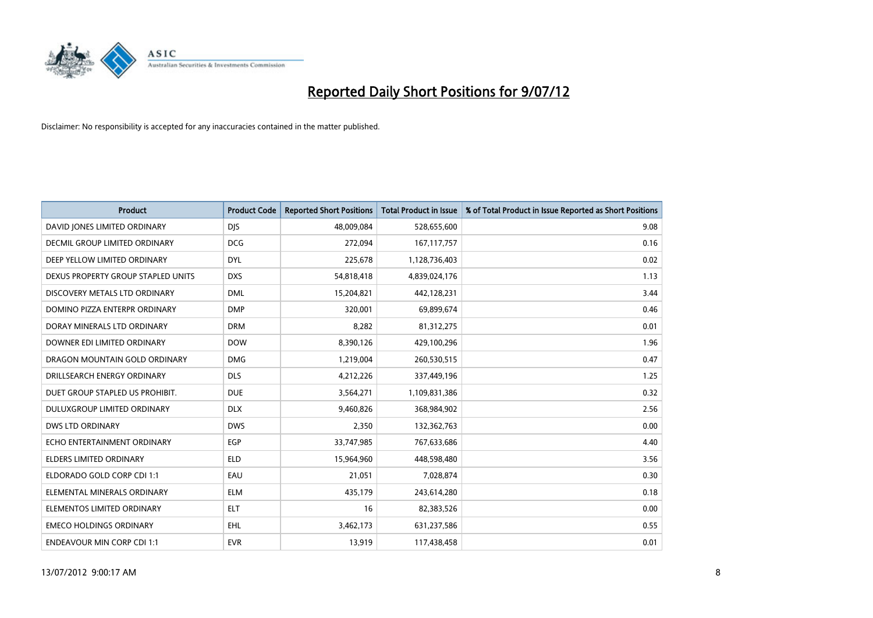

| <b>Product</b>                       | <b>Product Code</b> | <b>Reported Short Positions</b> | <b>Total Product in Issue</b> | % of Total Product in Issue Reported as Short Positions |
|--------------------------------------|---------------------|---------------------------------|-------------------------------|---------------------------------------------------------|
| DAVID JONES LIMITED ORDINARY         | <b>DJS</b>          | 48,009,084                      | 528,655,600                   | 9.08                                                    |
| <b>DECMIL GROUP LIMITED ORDINARY</b> | <b>DCG</b>          | 272,094                         | 167, 117, 757                 | 0.16                                                    |
| DEEP YELLOW LIMITED ORDINARY         | <b>DYL</b>          | 225,678                         | 1,128,736,403                 | 0.02                                                    |
| DEXUS PROPERTY GROUP STAPLED UNITS   | <b>DXS</b>          | 54,818,418                      | 4,839,024,176                 | 1.13                                                    |
| DISCOVERY METALS LTD ORDINARY        | <b>DML</b>          | 15,204,821                      | 442,128,231                   | 3.44                                                    |
| DOMINO PIZZA ENTERPR ORDINARY        | <b>DMP</b>          | 320,001                         | 69,899,674                    | 0.46                                                    |
| DORAY MINERALS LTD ORDINARY          | <b>DRM</b>          | 8,282                           | 81,312,275                    | 0.01                                                    |
| DOWNER EDI LIMITED ORDINARY          | <b>DOW</b>          | 8,390,126                       | 429,100,296                   | 1.96                                                    |
| DRAGON MOUNTAIN GOLD ORDINARY        | <b>DMG</b>          | 1,219,004                       | 260,530,515                   | 0.47                                                    |
| DRILLSEARCH ENERGY ORDINARY          | <b>DLS</b>          | 4,212,226                       | 337,449,196                   | 1.25                                                    |
| DUET GROUP STAPLED US PROHIBIT.      | <b>DUE</b>          | 3,564,271                       | 1,109,831,386                 | 0.32                                                    |
| <b>DULUXGROUP LIMITED ORDINARY</b>   | <b>DLX</b>          | 9,460,826                       | 368,984,902                   | 2.56                                                    |
| <b>DWS LTD ORDINARY</b>              | <b>DWS</b>          | 2,350                           | 132,362,763                   | 0.00                                                    |
| ECHO ENTERTAINMENT ORDINARY          | <b>EGP</b>          | 33,747,985                      | 767,633,686                   | 4.40                                                    |
| <b>ELDERS LIMITED ORDINARY</b>       | <b>ELD</b>          | 15,964,960                      | 448,598,480                   | 3.56                                                    |
| ELDORADO GOLD CORP CDI 1:1           | EAU                 | 21,051                          | 7,028,874                     | 0.30                                                    |
| ELEMENTAL MINERALS ORDINARY          | <b>ELM</b>          | 435,179                         | 243,614,280                   | 0.18                                                    |
| ELEMENTOS LIMITED ORDINARY           | <b>ELT</b>          | 16                              | 82,383,526                    | 0.00                                                    |
| <b>EMECO HOLDINGS ORDINARY</b>       | <b>EHL</b>          | 3,462,173                       | 631,237,586                   | 0.55                                                    |
| <b>ENDEAVOUR MIN CORP CDI 1:1</b>    | <b>EVR</b>          | 13,919                          | 117,438,458                   | 0.01                                                    |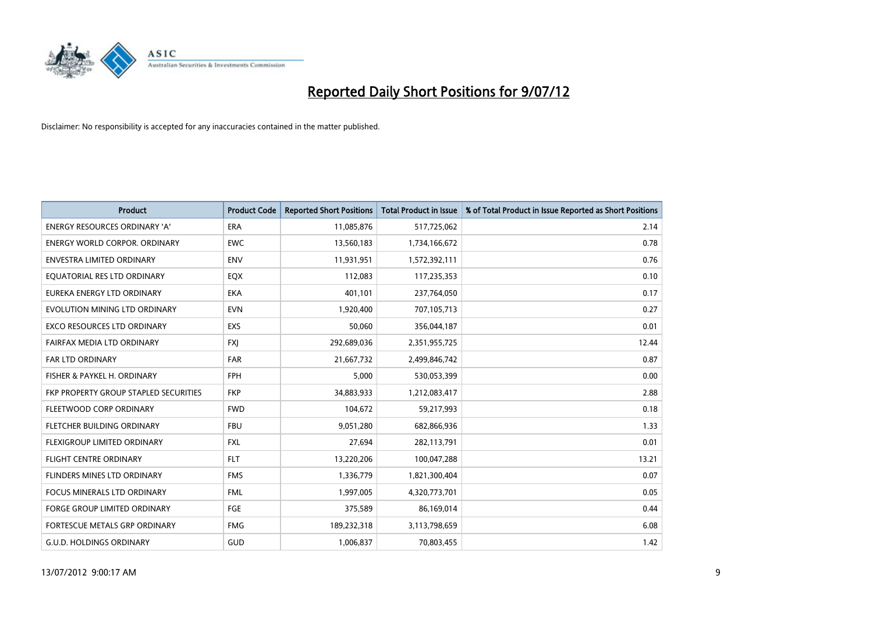

| <b>Product</b>                        | <b>Product Code</b> | <b>Reported Short Positions</b> | <b>Total Product in Issue</b> | % of Total Product in Issue Reported as Short Positions |
|---------------------------------------|---------------------|---------------------------------|-------------------------------|---------------------------------------------------------|
| <b>ENERGY RESOURCES ORDINARY 'A'</b>  | <b>ERA</b>          | 11,085,876                      | 517,725,062                   | 2.14                                                    |
| <b>ENERGY WORLD CORPOR. ORDINARY</b>  | <b>EWC</b>          | 13,560,183                      | 1,734,166,672                 | 0.78                                                    |
| <b>ENVESTRA LIMITED ORDINARY</b>      | <b>ENV</b>          | 11,931,951                      | 1,572,392,111                 | 0.76                                                    |
| EQUATORIAL RES LTD ORDINARY           | EQX                 | 112,083                         | 117,235,353                   | 0.10                                                    |
| EUREKA ENERGY LTD ORDINARY            | <b>EKA</b>          | 401,101                         | 237,764,050                   | 0.17                                                    |
| EVOLUTION MINING LTD ORDINARY         | <b>EVN</b>          | 1,920,400                       | 707,105,713                   | 0.27                                                    |
| <b>EXCO RESOURCES LTD ORDINARY</b>    | EXS                 | 50.060                          | 356,044,187                   | 0.01                                                    |
| FAIRFAX MEDIA LTD ORDINARY            | <b>FXI</b>          | 292,689,036                     | 2,351,955,725                 | 12.44                                                   |
| FAR LTD ORDINARY                      | <b>FAR</b>          | 21,667,732                      | 2,499,846,742                 | 0.87                                                    |
| FISHER & PAYKEL H. ORDINARY           | <b>FPH</b>          | 5,000                           | 530,053,399                   | 0.00                                                    |
| FKP PROPERTY GROUP STAPLED SECURITIES | <b>FKP</b>          | 34,883,933                      | 1,212,083,417                 | 2.88                                                    |
| FLEETWOOD CORP ORDINARY               | <b>FWD</b>          | 104,672                         | 59,217,993                    | 0.18                                                    |
| <b>FLETCHER BUILDING ORDINARY</b>     | <b>FBU</b>          | 9,051,280                       | 682,866,936                   | 1.33                                                    |
| FLEXIGROUP LIMITED ORDINARY           | <b>FXL</b>          | 27,694                          | 282,113,791                   | 0.01                                                    |
| <b>FLIGHT CENTRE ORDINARY</b>         | <b>FLT</b>          | 13,220,206                      | 100,047,288                   | 13.21                                                   |
| FLINDERS MINES LTD ORDINARY           | <b>FMS</b>          | 1,336,779                       | 1,821,300,404                 | 0.07                                                    |
| <b>FOCUS MINERALS LTD ORDINARY</b>    | <b>FML</b>          | 1,997,005                       | 4,320,773,701                 | 0.05                                                    |
| <b>FORGE GROUP LIMITED ORDINARY</b>   | <b>FGE</b>          | 375,589                         | 86,169,014                    | 0.44                                                    |
| FORTESCUE METALS GRP ORDINARY         | <b>FMG</b>          | 189,232,318                     | 3,113,798,659                 | 6.08                                                    |
| <b>G.U.D. HOLDINGS ORDINARY</b>       | <b>GUD</b>          | 1,006,837                       | 70,803,455                    | 1.42                                                    |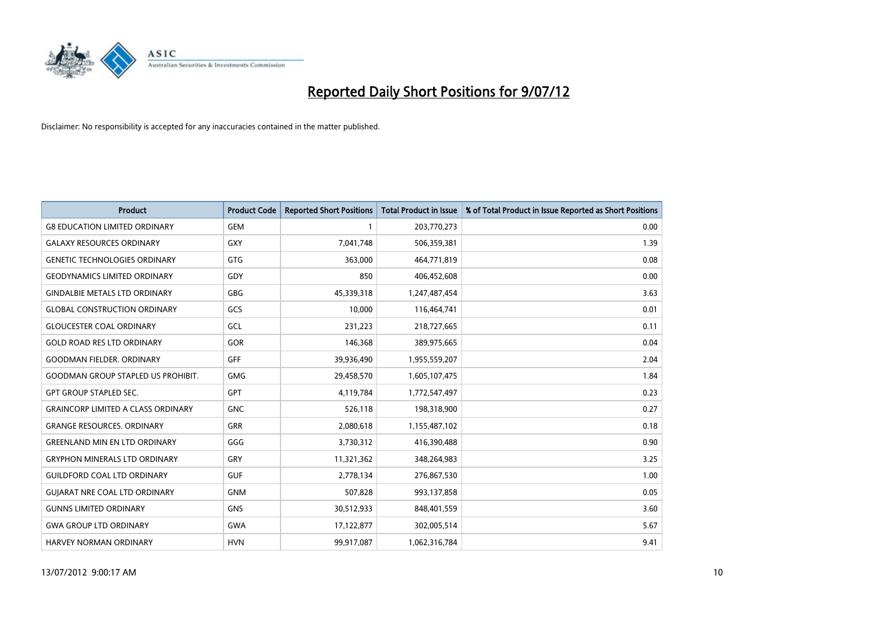

| <b>Product</b>                            | <b>Product Code</b> | <b>Reported Short Positions</b> | <b>Total Product in Issue</b> | % of Total Product in Issue Reported as Short Positions |
|-------------------------------------------|---------------------|---------------------------------|-------------------------------|---------------------------------------------------------|
| <b>G8 EDUCATION LIMITED ORDINARY</b>      | <b>GEM</b>          |                                 | 203,770,273                   | 0.00                                                    |
| <b>GALAXY RESOURCES ORDINARY</b>          | <b>GXY</b>          | 7,041,748                       | 506,359,381                   | 1.39                                                    |
| <b>GENETIC TECHNOLOGIES ORDINARY</b>      | <b>GTG</b>          | 363,000                         | 464,771,819                   | 0.08                                                    |
| <b>GEODYNAMICS LIMITED ORDINARY</b>       | GDY                 | 850                             | 406,452,608                   | 0.00                                                    |
| <b>GINDALBIE METALS LTD ORDINARY</b>      | <b>GBG</b>          | 45,339,318                      | 1,247,487,454                 | 3.63                                                    |
| <b>GLOBAL CONSTRUCTION ORDINARY</b>       | GCS                 | 10,000                          | 116,464,741                   | 0.01                                                    |
| <b>GLOUCESTER COAL ORDINARY</b>           | GCL                 | 231,223                         | 218,727,665                   | 0.11                                                    |
| <b>GOLD ROAD RES LTD ORDINARY</b>         | GOR                 | 146,368                         | 389,975,665                   | 0.04                                                    |
| <b>GOODMAN FIELDER, ORDINARY</b>          | GFF                 | 39,936,490                      | 1,955,559,207                 | 2.04                                                    |
| <b>GOODMAN GROUP STAPLED US PROHIBIT.</b> | <b>GMG</b>          | 29,458,570                      | 1,605,107,475                 | 1.84                                                    |
| <b>GPT GROUP STAPLED SEC.</b>             | <b>GPT</b>          | 4,119,784                       | 1,772,547,497                 | 0.23                                                    |
| <b>GRAINCORP LIMITED A CLASS ORDINARY</b> | <b>GNC</b>          | 526,118                         | 198,318,900                   | 0.27                                                    |
| <b>GRANGE RESOURCES, ORDINARY</b>         | <b>GRR</b>          | 2,080,618                       | 1,155,487,102                 | 0.18                                                    |
| <b>GREENLAND MIN EN LTD ORDINARY</b>      | GGG                 | 3,730,312                       | 416,390,488                   | 0.90                                                    |
| <b>GRYPHON MINERALS LTD ORDINARY</b>      | GRY                 | 11,321,362                      | 348,264,983                   | 3.25                                                    |
| <b>GUILDFORD COAL LTD ORDINARY</b>        | <b>GUF</b>          | 2,778,134                       | 276,867,530                   | 1.00                                                    |
| <b>GUIARAT NRE COAL LTD ORDINARY</b>      | <b>GNM</b>          | 507,828                         | 993,137,858                   | 0.05                                                    |
| <b>GUNNS LIMITED ORDINARY</b>             | <b>GNS</b>          | 30,512,933                      | 848,401,559                   | 3.60                                                    |
| <b>GWA GROUP LTD ORDINARY</b>             | <b>GWA</b>          | 17,122,877                      | 302,005,514                   | 5.67                                                    |
| HARVEY NORMAN ORDINARY                    | <b>HVN</b>          | 99,917,087                      | 1,062,316,784                 | 9.41                                                    |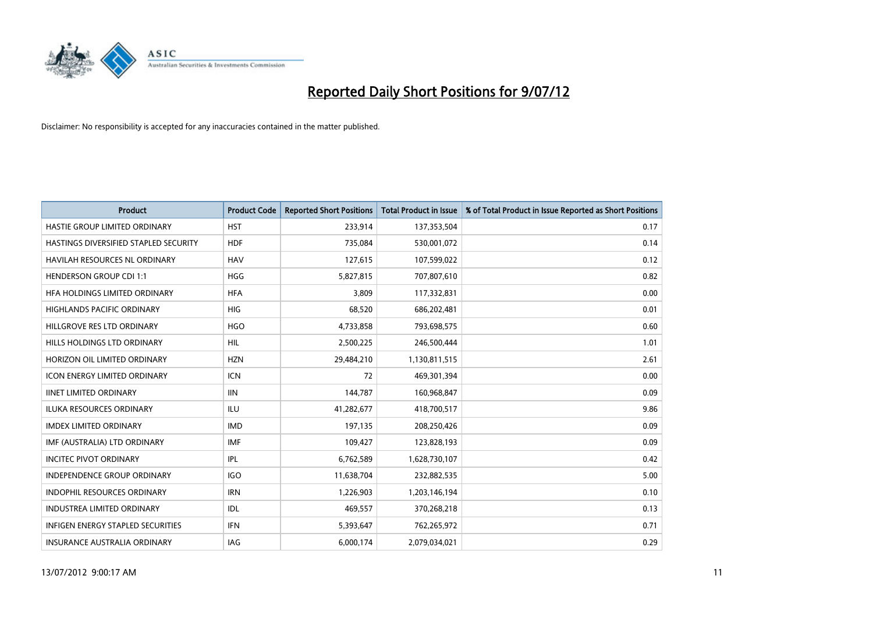

| <b>Product</b>                           | <b>Product Code</b> | <b>Reported Short Positions</b> | <b>Total Product in Issue</b> | % of Total Product in Issue Reported as Short Positions |
|------------------------------------------|---------------------|---------------------------------|-------------------------------|---------------------------------------------------------|
| HASTIE GROUP LIMITED ORDINARY            | <b>HST</b>          | 233,914                         | 137,353,504                   | 0.17                                                    |
| HASTINGS DIVERSIFIED STAPLED SECURITY    | <b>HDF</b>          | 735,084                         | 530,001,072                   | 0.14                                                    |
| <b>HAVILAH RESOURCES NL ORDINARY</b>     | <b>HAV</b>          | 127,615                         | 107,599,022                   | 0.12                                                    |
| <b>HENDERSON GROUP CDI 1:1</b>           | <b>HGG</b>          | 5,827,815                       | 707,807,610                   | 0.82                                                    |
| HFA HOLDINGS LIMITED ORDINARY            | <b>HFA</b>          | 3.809                           | 117,332,831                   | 0.00                                                    |
| <b>HIGHLANDS PACIFIC ORDINARY</b>        | <b>HIG</b>          | 68,520                          | 686,202,481                   | 0.01                                                    |
| HILLGROVE RES LTD ORDINARY               | <b>HGO</b>          | 4,733,858                       | 793,698,575                   | 0.60                                                    |
| HILLS HOLDINGS LTD ORDINARY              | <b>HIL</b>          | 2,500,225                       | 246,500,444                   | 1.01                                                    |
| HORIZON OIL LIMITED ORDINARY             | <b>HZN</b>          | 29,484,210                      | 1,130,811,515                 | 2.61                                                    |
| <b>ICON ENERGY LIMITED ORDINARY</b>      | <b>ICN</b>          | 72                              | 469,301,394                   | 0.00                                                    |
| <b>IINET LIMITED ORDINARY</b>            | <b>IIN</b>          | 144,787                         | 160,968,847                   | 0.09                                                    |
| <b>ILUKA RESOURCES ORDINARY</b>          | ILU                 | 41,282,677                      | 418,700,517                   | 9.86                                                    |
| <b>IMDEX LIMITED ORDINARY</b>            | <b>IMD</b>          | 197,135                         | 208,250,426                   | 0.09                                                    |
| IMF (AUSTRALIA) LTD ORDINARY             | <b>IMF</b>          | 109,427                         | 123,828,193                   | 0.09                                                    |
| <b>INCITEC PIVOT ORDINARY</b>            | IPL                 | 6,762,589                       | 1,628,730,107                 | 0.42                                                    |
| INDEPENDENCE GROUP ORDINARY              | <b>IGO</b>          | 11,638,704                      | 232,882,535                   | 5.00                                                    |
| <b>INDOPHIL RESOURCES ORDINARY</b>       | <b>IRN</b>          | 1,226,903                       | 1,203,146,194                 | 0.10                                                    |
| <b>INDUSTREA LIMITED ORDINARY</b>        | IDL                 | 469,557                         | 370,268,218                   | 0.13                                                    |
| <b>INFIGEN ENERGY STAPLED SECURITIES</b> | <b>IFN</b>          | 5,393,647                       | 762,265,972                   | 0.71                                                    |
| <b>INSURANCE AUSTRALIA ORDINARY</b>      | IAG                 | 6,000,174                       | 2.079.034.021                 | 0.29                                                    |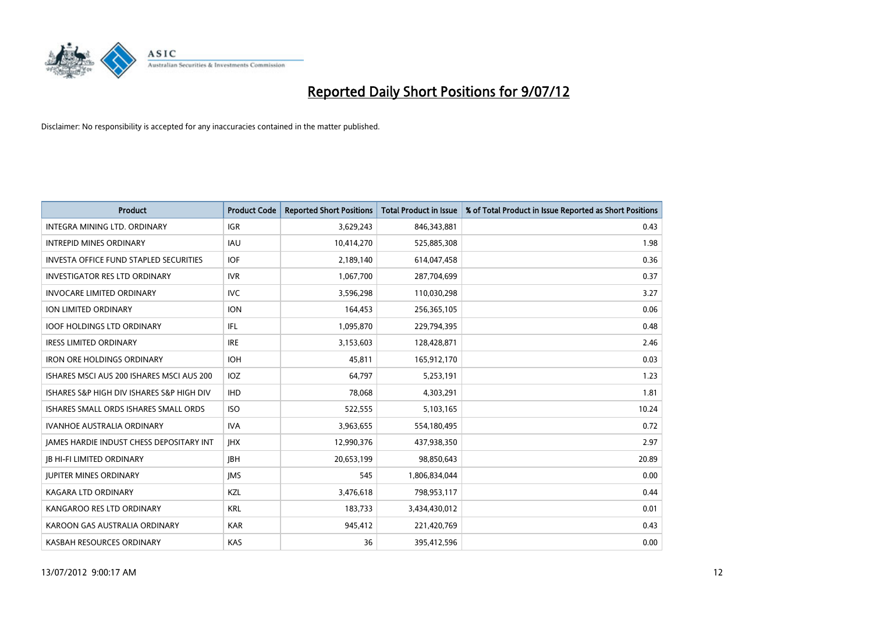

| <b>Product</b>                                  | <b>Product Code</b> | <b>Reported Short Positions</b> | <b>Total Product in Issue</b> | % of Total Product in Issue Reported as Short Positions |
|-------------------------------------------------|---------------------|---------------------------------|-------------------------------|---------------------------------------------------------|
| <b>INTEGRA MINING LTD, ORDINARY</b>             | <b>IGR</b>          | 3,629,243                       | 846,343,881                   | 0.43                                                    |
| <b>INTREPID MINES ORDINARY</b>                  | <b>IAU</b>          | 10,414,270                      | 525,885,308                   | 1.98                                                    |
| <b>INVESTA OFFICE FUND STAPLED SECURITIES</b>   | <b>IOF</b>          | 2,189,140                       | 614,047,458                   | 0.36                                                    |
| <b>INVESTIGATOR RES LTD ORDINARY</b>            | <b>IVR</b>          | 1,067,700                       | 287,704,699                   | 0.37                                                    |
| <b>INVOCARE LIMITED ORDINARY</b>                | <b>IVC</b>          | 3,596,298                       | 110,030,298                   | 3.27                                                    |
| ION LIMITED ORDINARY                            | <b>ION</b>          | 164,453                         | 256,365,105                   | 0.06                                                    |
| <b>IOOF HOLDINGS LTD ORDINARY</b>               | IFL                 | 1,095,870                       | 229,794,395                   | 0.48                                                    |
| <b>IRESS LIMITED ORDINARY</b>                   | <b>IRE</b>          | 3,153,603                       | 128,428,871                   | 2.46                                                    |
| <b>IRON ORE HOLDINGS ORDINARY</b>               | <b>IOH</b>          | 45,811                          | 165,912,170                   | 0.03                                                    |
| ISHARES MSCI AUS 200 ISHARES MSCI AUS 200       | <b>IOZ</b>          | 64,797                          | 5,253,191                     | 1.23                                                    |
| ISHARES S&P HIGH DIV ISHARES S&P HIGH DIV       | <b>IHD</b>          | 78,068                          | 4,303,291                     | 1.81                                                    |
| ISHARES SMALL ORDS ISHARES SMALL ORDS           | <b>ISO</b>          | 522,555                         | 5,103,165                     | 10.24                                                   |
| <b>IVANHOE AUSTRALIA ORDINARY</b>               | <b>IVA</b>          | 3,963,655                       | 554,180,495                   | 0.72                                                    |
| <b>JAMES HARDIE INDUST CHESS DEPOSITARY INT</b> | <b>IHX</b>          | 12,990,376                      | 437,938,350                   | 2.97                                                    |
| <b>JB HI-FI LIMITED ORDINARY</b>                | <b>IBH</b>          | 20,653,199                      | 98,850,643                    | 20.89                                                   |
| <b>JUPITER MINES ORDINARY</b>                   | <b>IMS</b>          | 545                             | 1,806,834,044                 | 0.00                                                    |
| KAGARA LTD ORDINARY                             | <b>KZL</b>          | 3,476,618                       | 798,953,117                   | 0.44                                                    |
| KANGAROO RES LTD ORDINARY                       | <b>KRL</b>          | 183,733                         | 3,434,430,012                 | 0.01                                                    |
| KAROON GAS AUSTRALIA ORDINARY                   | <b>KAR</b>          | 945,412                         | 221,420,769                   | 0.43                                                    |
| KASBAH RESOURCES ORDINARY                       | KAS                 | 36                              | 395,412,596                   | 0.00                                                    |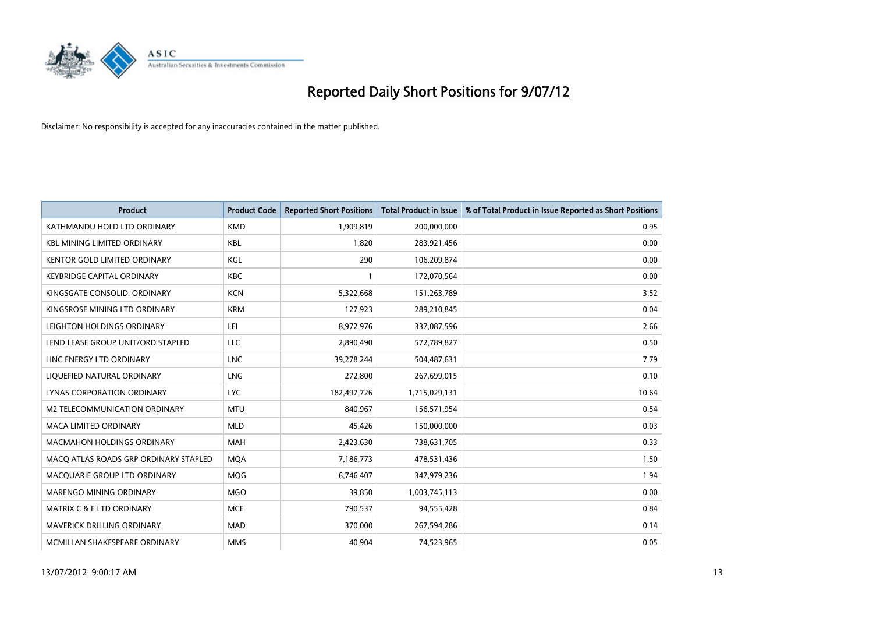

| <b>Product</b>                        | <b>Product Code</b> | <b>Reported Short Positions</b> | <b>Total Product in Issue</b> | % of Total Product in Issue Reported as Short Positions |
|---------------------------------------|---------------------|---------------------------------|-------------------------------|---------------------------------------------------------|
| KATHMANDU HOLD LTD ORDINARY           | <b>KMD</b>          | 1,909,819                       | 200,000,000                   | 0.95                                                    |
| <b>KBL MINING LIMITED ORDINARY</b>    | <b>KBL</b>          | 1,820                           | 283,921,456                   | 0.00                                                    |
| <b>KENTOR GOLD LIMITED ORDINARY</b>   | KGL                 | 290                             | 106,209,874                   | 0.00                                                    |
| KEYBRIDGE CAPITAL ORDINARY            | <b>KBC</b>          |                                 | 172,070,564                   | 0.00                                                    |
| KINGSGATE CONSOLID. ORDINARY          | <b>KCN</b>          | 5,322,668                       | 151,263,789                   | 3.52                                                    |
| KINGSROSE MINING LTD ORDINARY         | <b>KRM</b>          | 127,923                         | 289,210,845                   | 0.04                                                    |
| LEIGHTON HOLDINGS ORDINARY            | LEI                 | 8,972,976                       | 337,087,596                   | 2.66                                                    |
| LEND LEASE GROUP UNIT/ORD STAPLED     | LLC                 | 2,890,490                       | 572,789,827                   | 0.50                                                    |
| LINC ENERGY LTD ORDINARY              | <b>LNC</b>          | 39,278,244                      | 504,487,631                   | 7.79                                                    |
| LIOUEFIED NATURAL ORDINARY            | <b>LNG</b>          | 272,800                         | 267,699,015                   | 0.10                                                    |
| <b>LYNAS CORPORATION ORDINARY</b>     | <b>LYC</b>          | 182,497,726                     | 1,715,029,131                 | 10.64                                                   |
| M2 TELECOMMUNICATION ORDINARY         | <b>MTU</b>          | 840,967                         | 156,571,954                   | 0.54                                                    |
| <b>MACA LIMITED ORDINARY</b>          | <b>MLD</b>          | 45,426                          | 150,000,000                   | 0.03                                                    |
| <b>MACMAHON HOLDINGS ORDINARY</b>     | <b>MAH</b>          | 2,423,630                       | 738,631,705                   | 0.33                                                    |
| MACQ ATLAS ROADS GRP ORDINARY STAPLED | <b>MOA</b>          | 7,186,773                       | 478,531,436                   | 1.50                                                    |
| MACQUARIE GROUP LTD ORDINARY          | <b>MOG</b>          | 6,746,407                       | 347,979,236                   | 1.94                                                    |
| MARENGO MINING ORDINARY               | <b>MGO</b>          | 39,850                          | 1,003,745,113                 | 0.00                                                    |
| <b>MATRIX C &amp; E LTD ORDINARY</b>  | <b>MCE</b>          | 790,537                         | 94,555,428                    | 0.84                                                    |
| MAVERICK DRILLING ORDINARY            | <b>MAD</b>          | 370,000                         | 267,594,286                   | 0.14                                                    |
| MCMILLAN SHAKESPEARE ORDINARY         | <b>MMS</b>          | 40,904                          | 74,523,965                    | 0.05                                                    |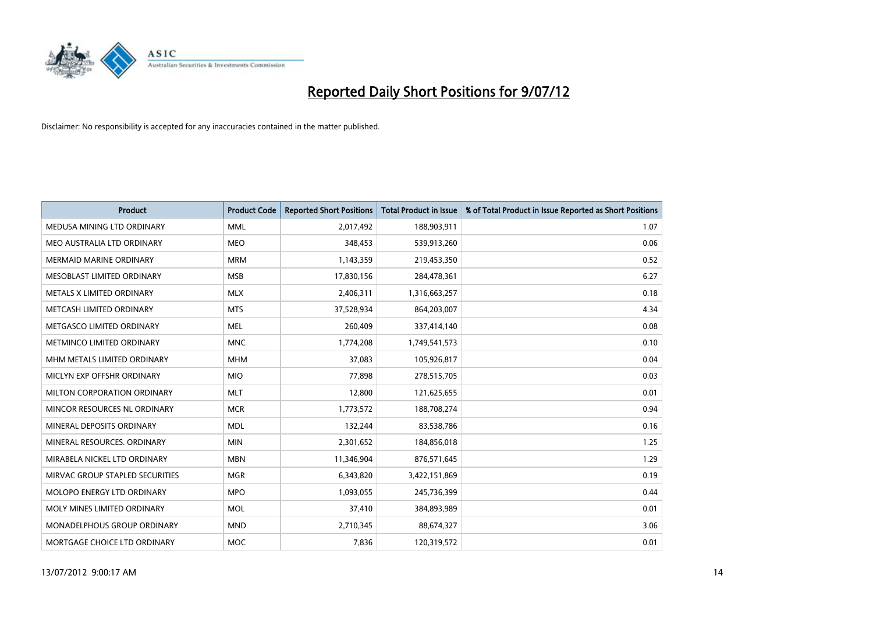

| <b>Product</b>                  | <b>Product Code</b> | <b>Reported Short Positions</b> | <b>Total Product in Issue</b> | % of Total Product in Issue Reported as Short Positions |
|---------------------------------|---------------------|---------------------------------|-------------------------------|---------------------------------------------------------|
| MEDUSA MINING LTD ORDINARY      | <b>MML</b>          | 2,017,492                       | 188,903,911                   | 1.07                                                    |
| MEO AUSTRALIA LTD ORDINARY      | <b>MEO</b>          | 348,453                         | 539,913,260                   | 0.06                                                    |
| <b>MERMAID MARINE ORDINARY</b>  | <b>MRM</b>          | 1,143,359                       | 219,453,350                   | 0.52                                                    |
| MESOBLAST LIMITED ORDINARY      | <b>MSB</b>          | 17,830,156                      | 284,478,361                   | 6.27                                                    |
| METALS X LIMITED ORDINARY       | <b>MLX</b>          | 2,406,311                       | 1,316,663,257                 | 0.18                                                    |
| METCASH LIMITED ORDINARY        | <b>MTS</b>          | 37,528,934                      | 864,203,007                   | 4.34                                                    |
| METGASCO LIMITED ORDINARY       | <b>MEL</b>          | 260,409                         | 337,414,140                   | 0.08                                                    |
| METMINCO LIMITED ORDINARY       | <b>MNC</b>          | 1,774,208                       | 1,749,541,573                 | 0.10                                                    |
| MHM METALS LIMITED ORDINARY     | <b>MHM</b>          | 37,083                          | 105,926,817                   | 0.04                                                    |
| MICLYN EXP OFFSHR ORDINARY      | <b>MIO</b>          | 77,898                          | 278,515,705                   | 0.03                                                    |
| MILTON CORPORATION ORDINARY     | <b>MLT</b>          | 12,800                          | 121,625,655                   | 0.01                                                    |
| MINCOR RESOURCES NL ORDINARY    | <b>MCR</b>          | 1,773,572                       | 188,708,274                   | 0.94                                                    |
| MINERAL DEPOSITS ORDINARY       | <b>MDL</b>          | 132,244                         | 83,538,786                    | 0.16                                                    |
| MINERAL RESOURCES, ORDINARY     | <b>MIN</b>          | 2,301,652                       | 184,856,018                   | 1.25                                                    |
| MIRABELA NICKEL LTD ORDINARY    | <b>MBN</b>          | 11,346,904                      | 876,571,645                   | 1.29                                                    |
| MIRVAC GROUP STAPLED SECURITIES | <b>MGR</b>          | 6,343,820                       | 3,422,151,869                 | 0.19                                                    |
| MOLOPO ENERGY LTD ORDINARY      | <b>MPO</b>          | 1,093,055                       | 245,736,399                   | 0.44                                                    |
| MOLY MINES LIMITED ORDINARY     | <b>MOL</b>          | 37,410                          | 384,893,989                   | 0.01                                                    |
| MONADELPHOUS GROUP ORDINARY     | <b>MND</b>          | 2,710,345                       | 88,674,327                    | 3.06                                                    |
| MORTGAGE CHOICE LTD ORDINARY    | <b>MOC</b>          | 7,836                           | 120,319,572                   | 0.01                                                    |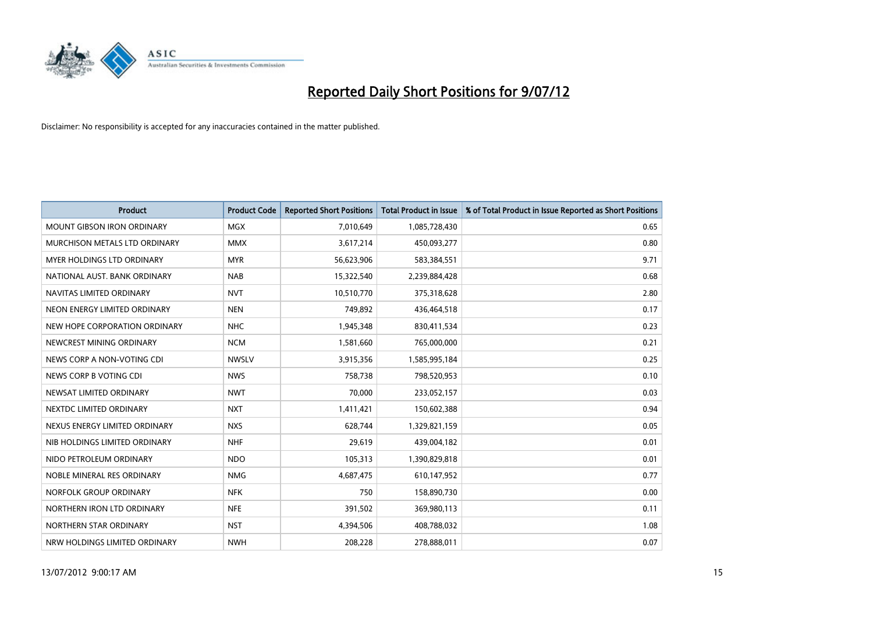

| <b>Product</b>                    | <b>Product Code</b> | <b>Reported Short Positions</b> | <b>Total Product in Issue</b> | % of Total Product in Issue Reported as Short Positions |
|-----------------------------------|---------------------|---------------------------------|-------------------------------|---------------------------------------------------------|
| <b>MOUNT GIBSON IRON ORDINARY</b> | <b>MGX</b>          | 7,010,649                       | 1,085,728,430                 | 0.65                                                    |
| MURCHISON METALS LTD ORDINARY     | <b>MMX</b>          | 3,617,214                       | 450,093,277                   | 0.80                                                    |
| <b>MYER HOLDINGS LTD ORDINARY</b> | <b>MYR</b>          | 56,623,906                      | 583,384,551                   | 9.71                                                    |
| NATIONAL AUST, BANK ORDINARY      | <b>NAB</b>          | 15,322,540                      | 2,239,884,428                 | 0.68                                                    |
| NAVITAS LIMITED ORDINARY          | <b>NVT</b>          | 10,510,770                      | 375,318,628                   | 2.80                                                    |
| NEON ENERGY LIMITED ORDINARY      | <b>NEN</b>          | 749,892                         | 436,464,518                   | 0.17                                                    |
| NEW HOPE CORPORATION ORDINARY     | <b>NHC</b>          | 1,945,348                       | 830,411,534                   | 0.23                                                    |
| NEWCREST MINING ORDINARY          | <b>NCM</b>          | 1,581,660                       | 765,000,000                   | 0.21                                                    |
| NEWS CORP A NON-VOTING CDI        | <b>NWSLV</b>        | 3,915,356                       | 1,585,995,184                 | 0.25                                                    |
| NEWS CORP B VOTING CDI            | <b>NWS</b>          | 758,738                         | 798,520,953                   | 0.10                                                    |
| NEWSAT LIMITED ORDINARY           | <b>NWT</b>          | 70,000                          | 233,052,157                   | 0.03                                                    |
| NEXTDC LIMITED ORDINARY           | <b>NXT</b>          | 1,411,421                       | 150,602,388                   | 0.94                                                    |
| NEXUS ENERGY LIMITED ORDINARY     | <b>NXS</b>          | 628,744                         | 1,329,821,159                 | 0.05                                                    |
| NIB HOLDINGS LIMITED ORDINARY     | <b>NHF</b>          | 29,619                          | 439,004,182                   | 0.01                                                    |
| NIDO PETROLEUM ORDINARY           | <b>NDO</b>          | 105,313                         | 1,390,829,818                 | 0.01                                                    |
| NOBLE MINERAL RES ORDINARY        | <b>NMG</b>          | 4,687,475                       | 610,147,952                   | 0.77                                                    |
| NORFOLK GROUP ORDINARY            | <b>NFK</b>          | 750                             | 158,890,730                   | 0.00                                                    |
| NORTHERN IRON LTD ORDINARY        | <b>NFE</b>          | 391,502                         | 369,980,113                   | 0.11                                                    |
| NORTHERN STAR ORDINARY            | <b>NST</b>          | 4,394,506                       | 408,788,032                   | 1.08                                                    |
| NRW HOLDINGS LIMITED ORDINARY     | <b>NWH</b>          | 208.228                         | 278,888,011                   | 0.07                                                    |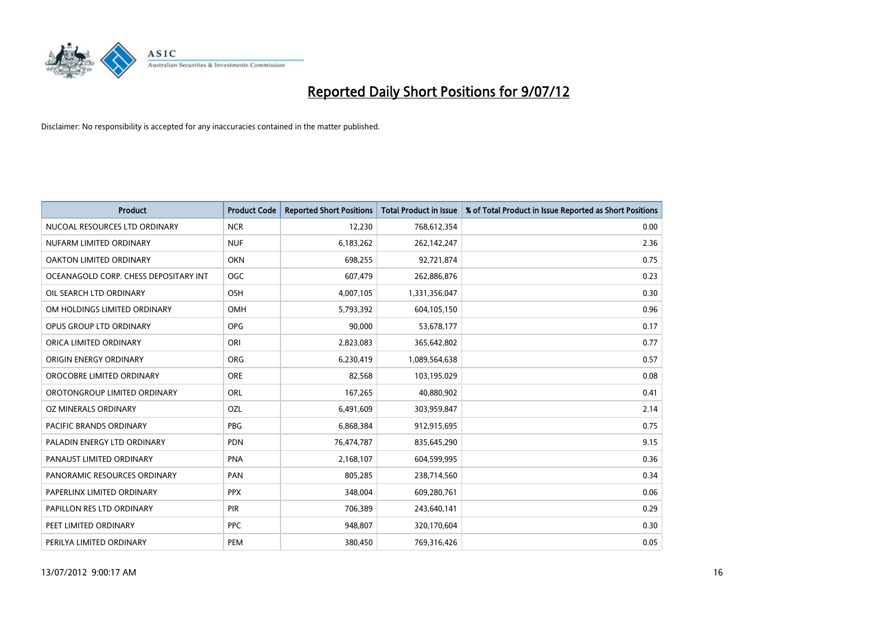

| <b>Product</b>                        | <b>Product Code</b> | <b>Reported Short Positions</b> | <b>Total Product in Issue</b> | % of Total Product in Issue Reported as Short Positions |
|---------------------------------------|---------------------|---------------------------------|-------------------------------|---------------------------------------------------------|
| NUCOAL RESOURCES LTD ORDINARY         | <b>NCR</b>          | 12,230                          | 768,612,354                   | 0.00                                                    |
| NUFARM LIMITED ORDINARY               | <b>NUF</b>          | 6,183,262                       | 262,142,247                   | 2.36                                                    |
| OAKTON LIMITED ORDINARY               | <b>OKN</b>          | 698,255                         | 92,721,874                    | 0.75                                                    |
| OCEANAGOLD CORP. CHESS DEPOSITARY INT | <b>OGC</b>          | 607,479                         | 262,886,876                   | 0.23                                                    |
| OIL SEARCH LTD ORDINARY               | OSH                 | 4,007,105                       | 1,331,356,047                 | 0.30                                                    |
| OM HOLDINGS LIMITED ORDINARY          | OMH                 | 5,793,392                       | 604,105,150                   | 0.96                                                    |
| OPUS GROUP LTD ORDINARY               | <b>OPG</b>          | 90.000                          | 53,678,177                    | 0.17                                                    |
| ORICA LIMITED ORDINARY                | ORI                 | 2,823,083                       | 365,642,802                   | 0.77                                                    |
| ORIGIN ENERGY ORDINARY                | <b>ORG</b>          | 6,230,419                       | 1,089,564,638                 | 0.57                                                    |
| OROCOBRE LIMITED ORDINARY             | <b>ORE</b>          | 82,568                          | 103,195,029                   | 0.08                                                    |
| OROTONGROUP LIMITED ORDINARY          | <b>ORL</b>          | 167,265                         | 40,880,902                    | 0.41                                                    |
| OZ MINERALS ORDINARY                  | OZL                 | 6,491,609                       | 303,959,847                   | 2.14                                                    |
| PACIFIC BRANDS ORDINARY               | <b>PBG</b>          | 6,868,384                       | 912,915,695                   | 0.75                                                    |
| PALADIN ENERGY LTD ORDINARY           | <b>PDN</b>          | 76,474,787                      | 835,645,290                   | 9.15                                                    |
| PANAUST LIMITED ORDINARY              | PNA                 | 2,168,107                       | 604,599,995                   | 0.36                                                    |
| PANORAMIC RESOURCES ORDINARY          | PAN                 | 805,285                         | 238,714,560                   | 0.34                                                    |
| PAPERLINX LIMITED ORDINARY            | <b>PPX</b>          | 348,004                         | 609,280,761                   | 0.06                                                    |
| PAPILLON RES LTD ORDINARY             | <b>PIR</b>          | 706,389                         | 243,640,141                   | 0.29                                                    |
| PEET LIMITED ORDINARY                 | <b>PPC</b>          | 948,807                         | 320,170,604                   | 0.30                                                    |
| PERILYA LIMITED ORDINARY              | PEM                 | 380.450                         | 769,316,426                   | 0.05                                                    |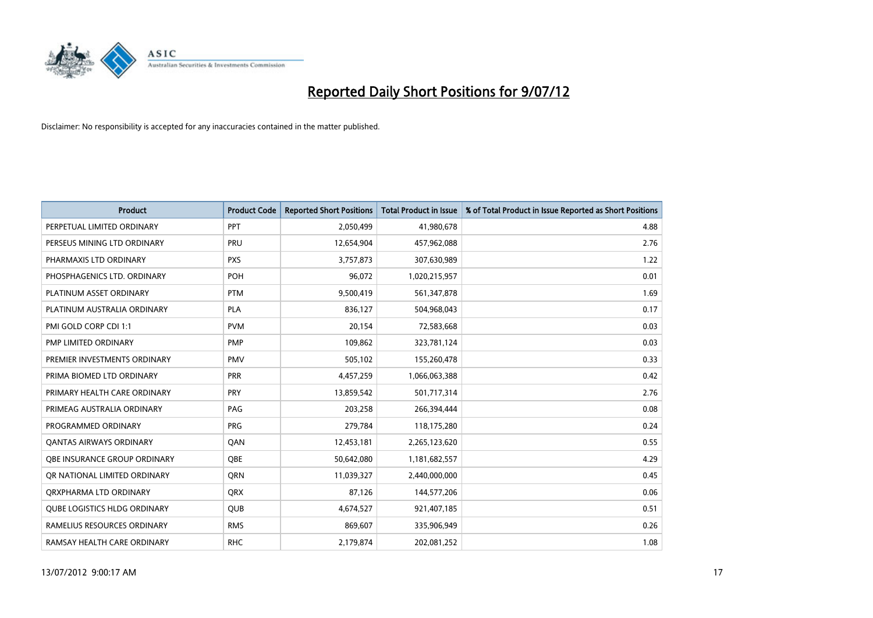

| <b>Product</b>                      | <b>Product Code</b> | <b>Reported Short Positions</b> | <b>Total Product in Issue</b> | % of Total Product in Issue Reported as Short Positions |
|-------------------------------------|---------------------|---------------------------------|-------------------------------|---------------------------------------------------------|
| PERPETUAL LIMITED ORDINARY          | PPT                 | 2,050,499                       | 41,980,678                    | 4.88                                                    |
| PERSEUS MINING LTD ORDINARY         | PRU                 | 12,654,904                      | 457,962,088                   | 2.76                                                    |
| PHARMAXIS LTD ORDINARY              | <b>PXS</b>          | 3,757,873                       | 307,630,989                   | 1.22                                                    |
| PHOSPHAGENICS LTD. ORDINARY         | <b>POH</b>          | 96,072                          | 1,020,215,957                 | 0.01                                                    |
| PLATINUM ASSET ORDINARY             | <b>PTM</b>          | 9,500,419                       | 561,347,878                   | 1.69                                                    |
| PLATINUM AUSTRALIA ORDINARY         | <b>PLA</b>          | 836,127                         | 504,968,043                   | 0.17                                                    |
| PMI GOLD CORP CDI 1:1               | <b>PVM</b>          | 20,154                          | 72,583,668                    | 0.03                                                    |
| PMP LIMITED ORDINARY                | <b>PMP</b>          | 109,862                         | 323,781,124                   | 0.03                                                    |
| PREMIER INVESTMENTS ORDINARY        | <b>PMV</b>          | 505,102                         | 155,260,478                   | 0.33                                                    |
| PRIMA BIOMED LTD ORDINARY           | <b>PRR</b>          | 4,457,259                       | 1,066,063,388                 | 0.42                                                    |
| PRIMARY HEALTH CARE ORDINARY        | <b>PRY</b>          | 13,859,542                      | 501,717,314                   | 2.76                                                    |
| PRIMEAG AUSTRALIA ORDINARY          | PAG                 | 203,258                         | 266,394,444                   | 0.08                                                    |
| PROGRAMMED ORDINARY                 | <b>PRG</b>          | 279,784                         | 118,175,280                   | 0.24                                                    |
| <b>QANTAS AIRWAYS ORDINARY</b>      | QAN                 | 12,453,181                      | 2,265,123,620                 | 0.55                                                    |
| OBE INSURANCE GROUP ORDINARY        | <b>OBE</b>          | 50,642,080                      | 1,181,682,557                 | 4.29                                                    |
| OR NATIONAL LIMITED ORDINARY        | <b>ORN</b>          | 11,039,327                      | 2,440,000,000                 | 0.45                                                    |
| ORXPHARMA LTD ORDINARY              | <b>QRX</b>          | 87,126                          | 144,577,206                   | 0.06                                                    |
| <b>QUBE LOGISTICS HLDG ORDINARY</b> | <b>QUB</b>          | 4,674,527                       | 921,407,185                   | 0.51                                                    |
| RAMELIUS RESOURCES ORDINARY         | <b>RMS</b>          | 869.607                         | 335,906,949                   | 0.26                                                    |
| RAMSAY HEALTH CARE ORDINARY         | <b>RHC</b>          | 2,179,874                       | 202.081.252                   | 1.08                                                    |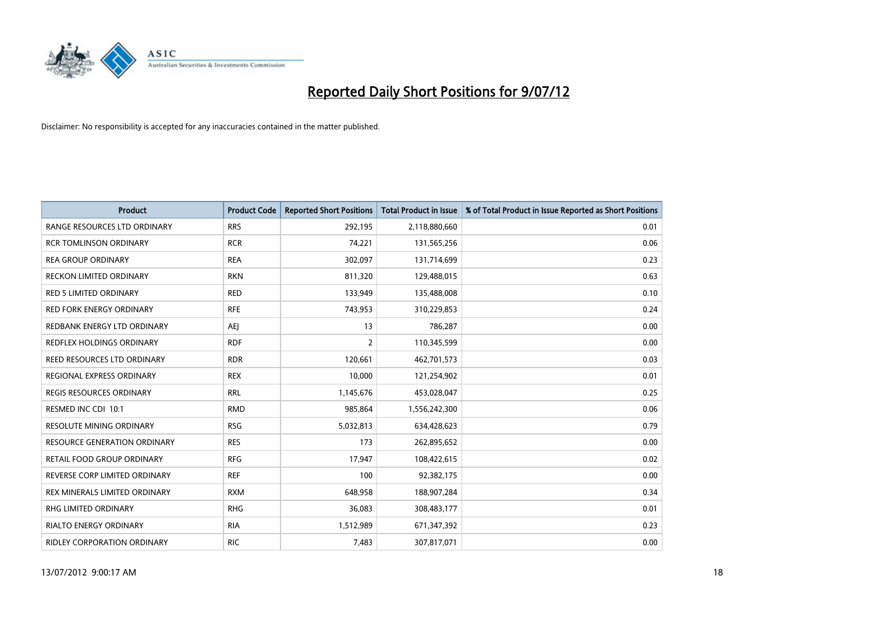

| <b>Product</b>                      | <b>Product Code</b> | <b>Reported Short Positions</b> | <b>Total Product in Issue</b> | % of Total Product in Issue Reported as Short Positions |
|-------------------------------------|---------------------|---------------------------------|-------------------------------|---------------------------------------------------------|
| RANGE RESOURCES LTD ORDINARY        | <b>RRS</b>          | 292,195                         | 2,118,880,660                 | 0.01                                                    |
| <b>RCR TOMLINSON ORDINARY</b>       | <b>RCR</b>          | 74,221                          | 131,565,256                   | 0.06                                                    |
| <b>REA GROUP ORDINARY</b>           | <b>REA</b>          | 302,097                         | 131,714,699                   | 0.23                                                    |
| RECKON LIMITED ORDINARY             | <b>RKN</b>          | 811,320                         | 129,488,015                   | 0.63                                                    |
| <b>RED 5 LIMITED ORDINARY</b>       | <b>RED</b>          | 133,949                         | 135,488,008                   | 0.10                                                    |
| <b>RED FORK ENERGY ORDINARY</b>     | <b>RFE</b>          | 743,953                         | 310,229,853                   | 0.24                                                    |
| REDBANK ENERGY LTD ORDINARY         | AEJ                 | 13                              | 786,287                       | 0.00                                                    |
| REDFLEX HOLDINGS ORDINARY           | <b>RDF</b>          | $\overline{2}$                  | 110,345,599                   | 0.00                                                    |
| REED RESOURCES LTD ORDINARY         | <b>RDR</b>          | 120,661                         | 462,701,573                   | 0.03                                                    |
| REGIONAL EXPRESS ORDINARY           | <b>REX</b>          | 10,000                          | 121,254,902                   | 0.01                                                    |
| REGIS RESOURCES ORDINARY            | <b>RRL</b>          | 1,145,676                       | 453,028,047                   | 0.25                                                    |
| RESMED INC CDI 10:1                 | <b>RMD</b>          | 985,864                         | 1,556,242,300                 | 0.06                                                    |
| RESOLUTE MINING ORDINARY            | <b>RSG</b>          | 5,032,813                       | 634,428,623                   | 0.79                                                    |
| <b>RESOURCE GENERATION ORDINARY</b> | <b>RES</b>          | 173                             | 262,895,652                   | 0.00                                                    |
| RETAIL FOOD GROUP ORDINARY          | <b>RFG</b>          | 17,947                          | 108,422,615                   | 0.02                                                    |
| REVERSE CORP LIMITED ORDINARY       | <b>REF</b>          | 100                             | 92,382,175                    | 0.00                                                    |
| REX MINERALS LIMITED ORDINARY       | <b>RXM</b>          | 648,958                         | 188,907,284                   | 0.34                                                    |
| RHG LIMITED ORDINARY                | <b>RHG</b>          | 36,083                          | 308,483,177                   | 0.01                                                    |
| <b>RIALTO ENERGY ORDINARY</b>       | <b>RIA</b>          | 1,512,989                       | 671,347,392                   | 0.23                                                    |
| RIDLEY CORPORATION ORDINARY         | <b>RIC</b>          | 7,483                           | 307,817,071                   | 0.00                                                    |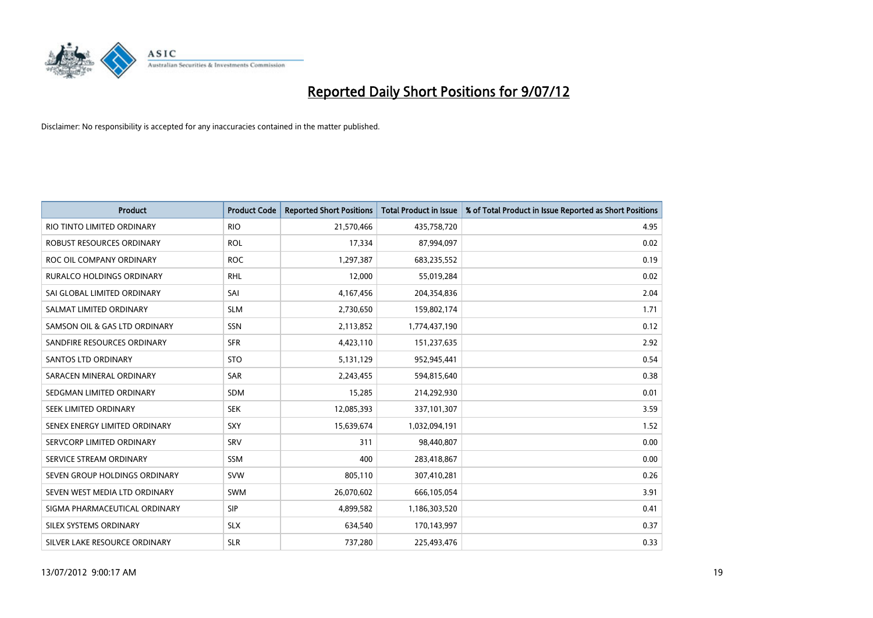

| <b>Product</b>                | <b>Product Code</b> | <b>Reported Short Positions</b> | <b>Total Product in Issue</b> | % of Total Product in Issue Reported as Short Positions |
|-------------------------------|---------------------|---------------------------------|-------------------------------|---------------------------------------------------------|
| RIO TINTO LIMITED ORDINARY    | <b>RIO</b>          | 21,570,466                      | 435,758,720                   | 4.95                                                    |
| ROBUST RESOURCES ORDINARY     | <b>ROL</b>          | 17,334                          | 87,994,097                    | 0.02                                                    |
| ROC OIL COMPANY ORDINARY      | <b>ROC</b>          | 1,297,387                       | 683,235,552                   | 0.19                                                    |
| RURALCO HOLDINGS ORDINARY     | <b>RHL</b>          | 12,000                          | 55,019,284                    | 0.02                                                    |
| SAI GLOBAL LIMITED ORDINARY   | SAI                 | 4,167,456                       | 204,354,836                   | 2.04                                                    |
| SALMAT LIMITED ORDINARY       | <b>SLM</b>          | 2,730,650                       | 159,802,174                   | 1.71                                                    |
| SAMSON OIL & GAS LTD ORDINARY | SSN                 | 2,113,852                       | 1,774,437,190                 | 0.12                                                    |
| SANDFIRE RESOURCES ORDINARY   | <b>SFR</b>          | 4,423,110                       | 151,237,635                   | 2.92                                                    |
| <b>SANTOS LTD ORDINARY</b>    | <b>STO</b>          | 5,131,129                       | 952,945,441                   | 0.54                                                    |
| SARACEN MINERAL ORDINARY      | SAR                 | 2,243,455                       | 594,815,640                   | 0.38                                                    |
| SEDGMAN LIMITED ORDINARY      | <b>SDM</b>          | 15,285                          | 214,292,930                   | 0.01                                                    |
| SEEK LIMITED ORDINARY         | <b>SEK</b>          | 12,085,393                      | 337,101,307                   | 3.59                                                    |
| SENEX ENERGY LIMITED ORDINARY | SXY                 | 15,639,674                      | 1,032,094,191                 | 1.52                                                    |
| SERVCORP LIMITED ORDINARY     | SRV                 | 311                             | 98.440.807                    | 0.00                                                    |
| SERVICE STREAM ORDINARY       | <b>SSM</b>          | 400                             | 283,418,867                   | 0.00                                                    |
| SEVEN GROUP HOLDINGS ORDINARY | <b>SVW</b>          | 805,110                         | 307,410,281                   | 0.26                                                    |
| SEVEN WEST MEDIA LTD ORDINARY | <b>SWM</b>          | 26,070,602                      | 666,105,054                   | 3.91                                                    |
| SIGMA PHARMACEUTICAL ORDINARY | <b>SIP</b>          | 4,899,582                       | 1,186,303,520                 | 0.41                                                    |
| SILEX SYSTEMS ORDINARY        | <b>SLX</b>          | 634,540                         | 170,143,997                   | 0.37                                                    |
| SILVER LAKE RESOURCE ORDINARY | <b>SLR</b>          | 737,280                         | 225.493.476                   | 0.33                                                    |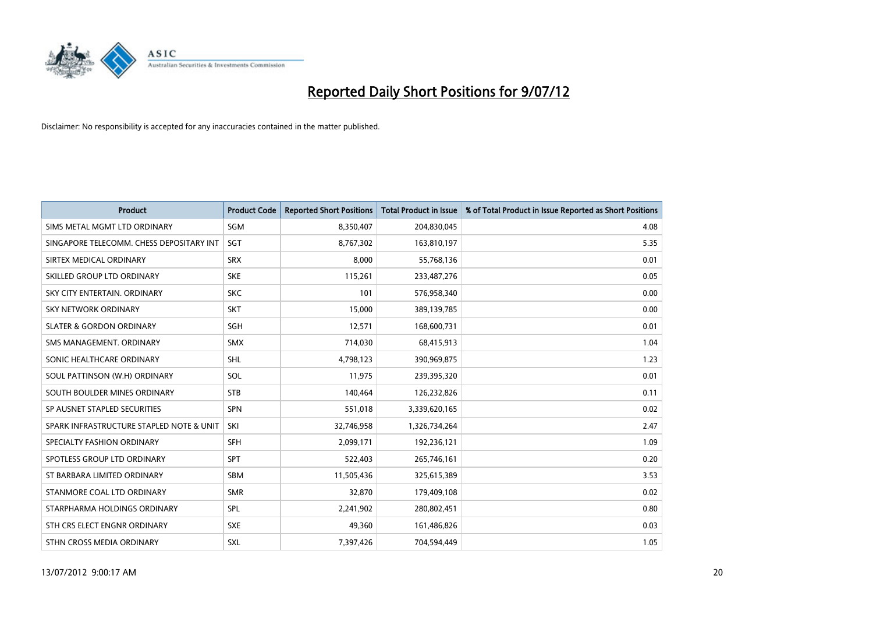

| <b>Product</b>                           | <b>Product Code</b> | <b>Reported Short Positions</b> | <b>Total Product in Issue</b> | % of Total Product in Issue Reported as Short Positions |
|------------------------------------------|---------------------|---------------------------------|-------------------------------|---------------------------------------------------------|
| SIMS METAL MGMT LTD ORDINARY             | SGM                 | 8,350,407                       | 204,830,045                   | 4.08                                                    |
| SINGAPORE TELECOMM. CHESS DEPOSITARY INT | <b>SGT</b>          | 8,767,302                       | 163,810,197                   | 5.35                                                    |
| SIRTEX MEDICAL ORDINARY                  | <b>SRX</b>          | 8,000                           | 55,768,136                    | 0.01                                                    |
| SKILLED GROUP LTD ORDINARY               | <b>SKE</b>          | 115,261                         | 233,487,276                   | 0.05                                                    |
| SKY CITY ENTERTAIN, ORDINARY             | <b>SKC</b>          | 101                             | 576,958,340                   | 0.00                                                    |
| <b>SKY NETWORK ORDINARY</b>              | <b>SKT</b>          | 15,000                          | 389,139,785                   | 0.00                                                    |
| <b>SLATER &amp; GORDON ORDINARY</b>      | SGH                 | 12,571                          | 168,600,731                   | 0.01                                                    |
| SMS MANAGEMENT. ORDINARY                 | <b>SMX</b>          | 714,030                         | 68,415,913                    | 1.04                                                    |
| SONIC HEALTHCARE ORDINARY                | <b>SHL</b>          | 4,798,123                       | 390,969,875                   | 1.23                                                    |
| SOUL PATTINSON (W.H) ORDINARY            | SOL                 | 11,975                          | 239,395,320                   | 0.01                                                    |
| SOUTH BOULDER MINES ORDINARY             | <b>STB</b>          | 140,464                         | 126,232,826                   | 0.11                                                    |
| SP AUSNET STAPLED SECURITIES             | <b>SPN</b>          | 551,018                         | 3,339,620,165                 | 0.02                                                    |
| SPARK INFRASTRUCTURE STAPLED NOTE & UNIT | SKI                 | 32,746,958                      | 1,326,734,264                 | 2.47                                                    |
| SPECIALTY FASHION ORDINARY               | <b>SFH</b>          | 2,099,171                       | 192,236,121                   | 1.09                                                    |
| SPOTLESS GROUP LTD ORDINARY              | <b>SPT</b>          | 522,403                         | 265,746,161                   | 0.20                                                    |
| ST BARBARA LIMITED ORDINARY              | <b>SBM</b>          | 11,505,436                      | 325,615,389                   | 3.53                                                    |
| STANMORE COAL LTD ORDINARY               | <b>SMR</b>          | 32,870                          | 179,409,108                   | 0.02                                                    |
| STARPHARMA HOLDINGS ORDINARY             | <b>SPL</b>          | 2,241,902                       | 280,802,451                   | 0.80                                                    |
| STH CRS ELECT ENGNR ORDINARY             | <b>SXE</b>          | 49,360                          | 161,486,826                   | 0.03                                                    |
| STHN CROSS MEDIA ORDINARY                | <b>SXL</b>          | 7,397,426                       | 704,594,449                   | 1.05                                                    |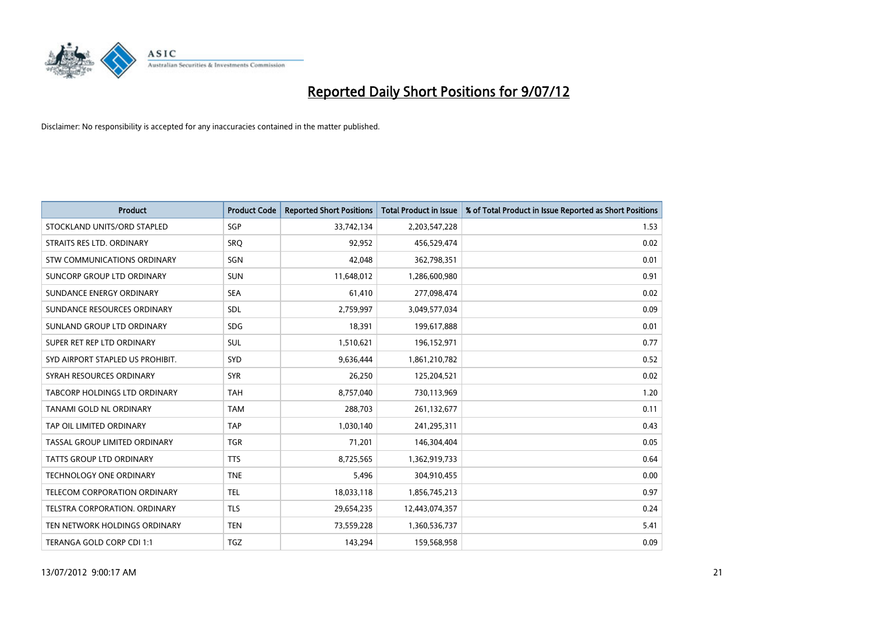

| <b>Product</b>                   | <b>Product Code</b> | <b>Reported Short Positions</b> | <b>Total Product in Issue</b> | % of Total Product in Issue Reported as Short Positions |
|----------------------------------|---------------------|---------------------------------|-------------------------------|---------------------------------------------------------|
| STOCKLAND UNITS/ORD STAPLED      | <b>SGP</b>          | 33,742,134                      | 2,203,547,228                 | 1.53                                                    |
| STRAITS RES LTD. ORDINARY        | SRO                 | 92,952                          | 456,529,474                   | 0.02                                                    |
| STW COMMUNICATIONS ORDINARY      | SGN                 | 42,048                          | 362,798,351                   | 0.01                                                    |
| SUNCORP GROUP LTD ORDINARY       | <b>SUN</b>          | 11,648,012                      | 1,286,600,980                 | 0.91                                                    |
| SUNDANCE ENERGY ORDINARY         | <b>SEA</b>          | 61,410                          | 277,098,474                   | 0.02                                                    |
| SUNDANCE RESOURCES ORDINARY      | SDL                 | 2,759,997                       | 3,049,577,034                 | 0.09                                                    |
| SUNLAND GROUP LTD ORDINARY       | <b>SDG</b>          | 18,391                          | 199,617,888                   | 0.01                                                    |
| SUPER RET REP LTD ORDINARY       | <b>SUL</b>          | 1,510,621                       | 196,152,971                   | 0.77                                                    |
| SYD AIRPORT STAPLED US PROHIBIT. | <b>SYD</b>          | 9,636,444                       | 1,861,210,782                 | 0.52                                                    |
| SYRAH RESOURCES ORDINARY         | <b>SYR</b>          | 26,250                          | 125,204,521                   | 0.02                                                    |
| TABCORP HOLDINGS LTD ORDINARY    | <b>TAH</b>          | 8,757,040                       | 730,113,969                   | 1.20                                                    |
| TANAMI GOLD NL ORDINARY          | <b>TAM</b>          | 288,703                         | 261,132,677                   | 0.11                                                    |
| TAP OIL LIMITED ORDINARY         | <b>TAP</b>          | 1,030,140                       | 241,295,311                   | 0.43                                                    |
| TASSAL GROUP LIMITED ORDINARY    | <b>TGR</b>          | 71,201                          | 146,304,404                   | 0.05                                                    |
| <b>TATTS GROUP LTD ORDINARY</b>  | <b>TTS</b>          | 8,725,565                       | 1,362,919,733                 | 0.64                                                    |
| <b>TECHNOLOGY ONE ORDINARY</b>   | <b>TNE</b>          | 5,496                           | 304,910,455                   | 0.00                                                    |
| TELECOM CORPORATION ORDINARY     | <b>TEL</b>          | 18,033,118                      | 1,856,745,213                 | 0.97                                                    |
| TELSTRA CORPORATION. ORDINARY    | <b>TLS</b>          | 29,654,235                      | 12,443,074,357                | 0.24                                                    |
| TEN NETWORK HOLDINGS ORDINARY    | <b>TEN</b>          | 73,559,228                      | 1,360,536,737                 | 5.41                                                    |
| TERANGA GOLD CORP CDI 1:1        | <b>TGZ</b>          | 143,294                         | 159,568,958                   | 0.09                                                    |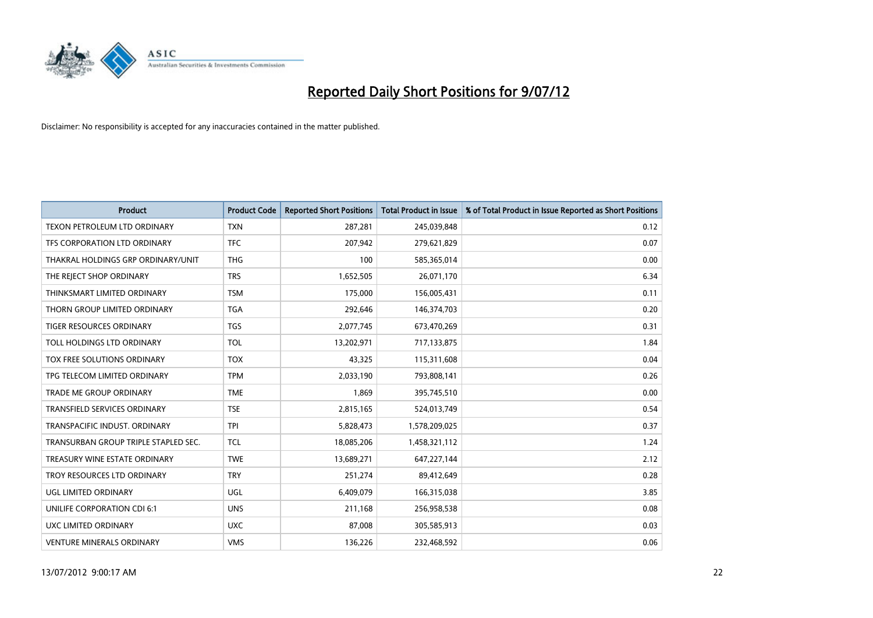

| <b>Product</b>                       | <b>Product Code</b> | <b>Reported Short Positions</b> | <b>Total Product in Issue</b> | % of Total Product in Issue Reported as Short Positions |
|--------------------------------------|---------------------|---------------------------------|-------------------------------|---------------------------------------------------------|
| TEXON PETROLEUM LTD ORDINARY         | <b>TXN</b>          | 287,281                         | 245,039,848                   | 0.12                                                    |
| TFS CORPORATION LTD ORDINARY         | <b>TFC</b>          | 207.942                         | 279,621,829                   | 0.07                                                    |
| THAKRAL HOLDINGS GRP ORDINARY/UNIT   | <b>THG</b>          | 100                             | 585,365,014                   | 0.00                                                    |
| THE REJECT SHOP ORDINARY             | <b>TRS</b>          | 1,652,505                       | 26,071,170                    | 6.34                                                    |
| THINKSMART LIMITED ORDINARY          | <b>TSM</b>          | 175,000                         | 156,005,431                   | 0.11                                                    |
| THORN GROUP LIMITED ORDINARY         | <b>TGA</b>          | 292,646                         | 146,374,703                   | 0.20                                                    |
| <b>TIGER RESOURCES ORDINARY</b>      | <b>TGS</b>          | 2,077,745                       | 673,470,269                   | 0.31                                                    |
| TOLL HOLDINGS LTD ORDINARY           | <b>TOL</b>          | 13,202,971                      | 717,133,875                   | 1.84                                                    |
| TOX FREE SOLUTIONS ORDINARY          | <b>TOX</b>          | 43,325                          | 115,311,608                   | 0.04                                                    |
| TPG TELECOM LIMITED ORDINARY         | <b>TPM</b>          | 2,033,190                       | 793,808,141                   | 0.26                                                    |
| <b>TRADE ME GROUP ORDINARY</b>       | <b>TME</b>          | 1,869                           | 395,745,510                   | 0.00                                                    |
| <b>TRANSFIELD SERVICES ORDINARY</b>  | <b>TSE</b>          | 2,815,165                       | 524,013,749                   | 0.54                                                    |
| TRANSPACIFIC INDUST, ORDINARY        | <b>TPI</b>          | 5,828,473                       | 1,578,209,025                 | 0.37                                                    |
| TRANSURBAN GROUP TRIPLE STAPLED SEC. | <b>TCL</b>          | 18,085,206                      | 1,458,321,112                 | 1.24                                                    |
| TREASURY WINE ESTATE ORDINARY        | <b>TWE</b>          | 13,689,271                      | 647,227,144                   | 2.12                                                    |
| TROY RESOURCES LTD ORDINARY          | <b>TRY</b>          | 251,274                         | 89,412,649                    | 0.28                                                    |
| UGL LIMITED ORDINARY                 | UGL                 | 6,409,079                       | 166,315,038                   | 3.85                                                    |
| UNILIFE CORPORATION CDI 6:1          | <b>UNS</b>          | 211,168                         | 256,958,538                   | 0.08                                                    |
| UXC LIMITED ORDINARY                 | <b>UXC</b>          | 87,008                          | 305,585,913                   | 0.03                                                    |
| <b>VENTURE MINERALS ORDINARY</b>     | <b>VMS</b>          | 136,226                         | 232,468,592                   | 0.06                                                    |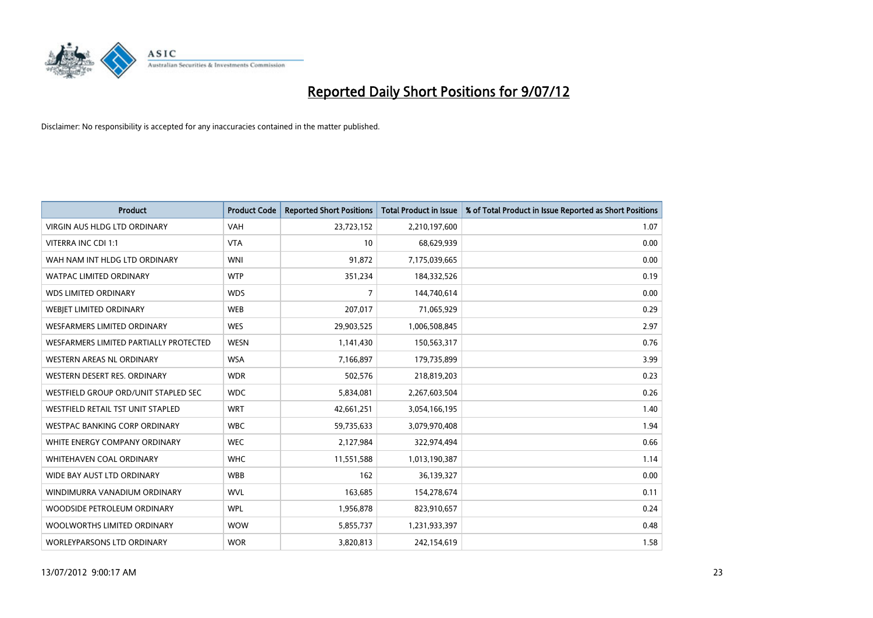

| <b>Product</b>                         | <b>Product Code</b> | <b>Reported Short Positions</b> | <b>Total Product in Issue</b> | % of Total Product in Issue Reported as Short Positions |
|----------------------------------------|---------------------|---------------------------------|-------------------------------|---------------------------------------------------------|
| <b>VIRGIN AUS HLDG LTD ORDINARY</b>    | <b>VAH</b>          | 23,723,152                      | 2,210,197,600                 | 1.07                                                    |
| VITERRA INC CDI 1:1                    | <b>VTA</b>          | 10                              | 68,629,939                    | 0.00                                                    |
| WAH NAM INT HLDG LTD ORDINARY          | <b>WNI</b>          | 91,872                          | 7,175,039,665                 | 0.00                                                    |
| WATPAC LIMITED ORDINARY                | <b>WTP</b>          | 351,234                         | 184,332,526                   | 0.19                                                    |
| <b>WDS LIMITED ORDINARY</b>            | <b>WDS</b>          | 7                               | 144,740,614                   | 0.00                                                    |
| WEBIET LIMITED ORDINARY                | <b>WEB</b>          | 207,017                         | 71,065,929                    | 0.29                                                    |
| <b>WESFARMERS LIMITED ORDINARY</b>     | <b>WES</b>          | 29,903,525                      | 1,006,508,845                 | 2.97                                                    |
| WESFARMERS LIMITED PARTIALLY PROTECTED | <b>WESN</b>         | 1,141,430                       | 150,563,317                   | 0.76                                                    |
| <b>WESTERN AREAS NL ORDINARY</b>       | <b>WSA</b>          | 7,166,897                       | 179,735,899                   | 3.99                                                    |
| WESTERN DESERT RES. ORDINARY           | <b>WDR</b>          | 502,576                         | 218,819,203                   | 0.23                                                    |
| WESTFIELD GROUP ORD/UNIT STAPLED SEC   | <b>WDC</b>          | 5,834,081                       | 2,267,603,504                 | 0.26                                                    |
| WESTFIELD RETAIL TST UNIT STAPLED      | <b>WRT</b>          | 42,661,251                      | 3,054,166,195                 | 1.40                                                    |
| WESTPAC BANKING CORP ORDINARY          | <b>WBC</b>          | 59,735,633                      | 3,079,970,408                 | 1.94                                                    |
| WHITE ENERGY COMPANY ORDINARY          | <b>WEC</b>          | 2,127,984                       | 322,974,494                   | 0.66                                                    |
| <b>WHITEHAVEN COAL ORDINARY</b>        | <b>WHC</b>          | 11,551,588                      | 1,013,190,387                 | 1.14                                                    |
| WIDE BAY AUST LTD ORDINARY             | <b>WBB</b>          | 162                             | 36,139,327                    | 0.00                                                    |
| WINDIMURRA VANADIUM ORDINARY           | <b>WVL</b>          | 163,685                         | 154,278,674                   | 0.11                                                    |
| WOODSIDE PETROLEUM ORDINARY            | <b>WPL</b>          | 1,956,878                       | 823,910,657                   | 0.24                                                    |
| WOOLWORTHS LIMITED ORDINARY            | <b>WOW</b>          | 5,855,737                       | 1,231,933,397                 | 0.48                                                    |
| <b>WORLEYPARSONS LTD ORDINARY</b>      | <b>WOR</b>          | 3,820,813                       | 242,154,619                   | 1.58                                                    |